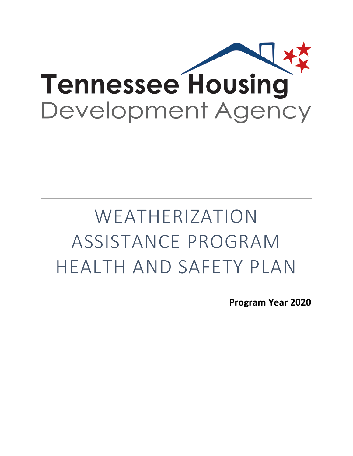

# WEATHERIZATION ASSISTANCE PROGRAM HEALTH AND SAFETY PLAN

**Program Year 2020**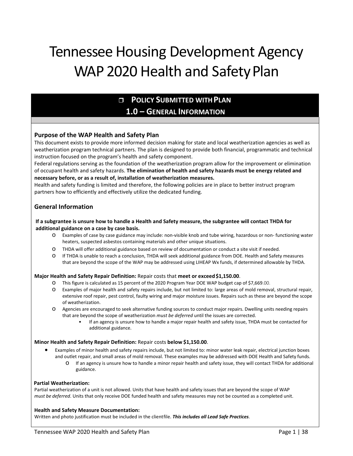## Tennessee Housing Development Agency WAP 2020 Health and Safety Plan

## **POLICY SUBMITTED WITHPLAN 1.0 – GENERAL INFORMATION**

#### **Purpose of the WAP Health and Safety Plan**

This document exists to provide more informed decision making for state and local weatherization agencies as well as weatherization program technical partners. The plan is designed to provide both financial, programmatic and technical instruction focused on the program's health and safety component.

Federal regulations serving as the foundation of the weatherization program allow for the improvement or elimination of occupant health and safety hazards. **The elimination of health and safety hazards must be energy related and necessary before, or as a result of, installation of weatherization measures.** 

Health and safety funding is limited and therefore, the following policies are in place to better instruct program partners how to efficiently and effectively utilize the dedicated funding.

#### **General Information**

#### **If a subgrantee is unsure how to handle a Health and Safety measure, the subgrantee will contact THDA for additional guidance on a case by case basis.**

- o Examples of case by case guidance may include: non-visible knob and tube wiring, hazardous or non- functioning water heaters, suspected asbestos containing materials and other unique situations.
- o THDA will offer additional guidance based on review of documentation or conduct a site visit if needed.
- o If THDA is unable to reach a conclusion, THDA will seek additional guidance from DOE. Health and Safety measures that are beyond the scope of the WAP may be addressed using LIHEAP Wx funds, if determined allowable by THDA.

#### **Major Health and Safety Repair Definition: Repair costs that meet or exceed \$1,150.00.**

- o This figure is calculated as 15 percent of the 2020 Program Year DOE WAP budget cap of \$7,669.00.
- o Examples of major health and safety repairs include, but not limited to: large areas of mold removal, structural repair, extensive roof repair, pest control, faulty wiring and major moisture issues. Repairs such as these are beyond the scope of weatherization.
- o Agencies are encouraged to seek alternative funding sources to conduct major repairs. Dwelling units needing repairs that are beyond the scope of weatherization *must be deferred* until the issues are corrected.
	- If an agency is unsure how to handle a major repair health and safety issue, THDA must be contacted for additional guidance.

#### **Minor Health and Safety Repair Definition:** Repair costs **below \$1,150.00**.

- Examples of minor health and safety repairs include, but not limited to: minor water leak repair, electrical junction boxes and outlet repair, and small areas of mold removal. These examples may be addressed with DOE Health and Safety funds.
	- o If an agency is unsure how to handle a minor repair health and safety issue, they will contact THDA for additional guidance.

#### **Partial Weatherization:**

Partial weatherization of a unit is not allowed. Units that have health and safety issues that are beyond the scope of WAP *must be deferred*. Units that only receive DOE funded health and safety measures may not be counted as a completed unit.

#### **Health and Safety Measure Documentation:**

Written and photo justification must be included in the clientfile. *This includes all Lead Safe Practices.*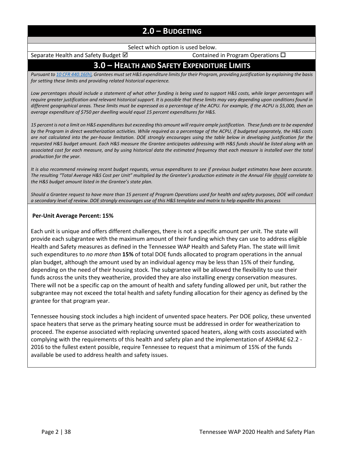## **2.0 – BUDGETING**

Select which option is used below.

Separate Health and Safety Budget  $\boxtimes$  Contained in Program Operations  $\Box$ 

## **3.0 – HEALTH AND SAFETY EXPENDITURE LIMITS**

*Pursuant t[o 10 CFR 440.16\(h\), G](https://www.ecfr.gov/cgi-bin/text-idx?SID=f78e4ee30175d8063f1e1ce6eb728f94&mc=true&node=se10.3.440_116&rgn=div8)rantees must set H&S expenditure limits for their Program, providing justification by explaining the basis for setting these limits and providing related historical experience.*

*Low percentages should include a statement of what other funding is being used to support H&S costs, while larger percentages will require greater justification and relevant historical support. It is possible that these limits may vary depending upon conditions found in different geographical areas. These limits must be expressed as a percentage of the ACPU. For example, if the ACPU is \$5,000, then an average expenditure of \$750 per dwelling would equal 15 percent expenditures for H&S.*

15 percent is not a limit on H&S expenditures but exceeding this amount will require ample justification. These funds are to be expended *by the Program in direct weatherization activities. While required as a percentage of the ACPU, if budgeted separately, the H&S costs are not calculated into the per-house limitation. DOE strongly encourages using the table below in developing justification for the requested H&S budget amount. Each H&S measure the Grantee anticipates addressing with H&S funds should be listed along with an associated cost for each measure, and by using historical data the estimated frequency that each measure is installed over the total production for the year.*

*It is also recommend reviewing recent budget requests, versus expenditures to see if previous budget estimates have been accurate. The resulting "Total Average H&S Cost per Unit" multiplied by the Grantee's production estimate in the Annual File should correlate to the H&S budget amount listed in the Grantee's state plan.*

*Should a Grantee request to have more than 15 percent of Program Operations used for health and safety purposes, DOE will conduct a secondary level of review. DOE strongly encourages use of this H&S template and matrix to help expedite this process*

#### **Per-Unit Average Percent: 15%**

Each unit is unique and offers different challenges, there is not a specific amount per unit. The state will provide each subgrantee with the maximum amount of their funding which they can use to address eligible Health and Safety measures as defined in the Tennessee WAP Health and Safety Plan. The state will limit such expenditures to *no more than* **15%** of total DOE funds allocated to program operations in the annual plan budget, although the amount used by an individual agency may be less than 15% of their funding, depending on the need of their housing stock. The subgrantee will be allowed the flexibility to use their funds across the units they weatherize, provided they are also installing energy conservation measures. There will not be a specific cap on the amount of health and safety funding allowed per unit, but rather the subgrantee may not exceed the total health and safety funding allocation for their agency as defined by the grantee for that program year.

Tennessee housing stock includes a high incident of unvented space heaters. Per DOE policy, these unvented space heaters that serve as the primary heating source must be addressed in order for weatherization to proceed. The expense associated with replacing unvented spaced heaters, along with costs associated with complying with the requirements of this health and safety plan and the implementation of ASHRAE 62.2 - 2016 to the fullest extent possible, require Tennessee to request that a minimum of 15% of the funds available be used to address health and safety issues.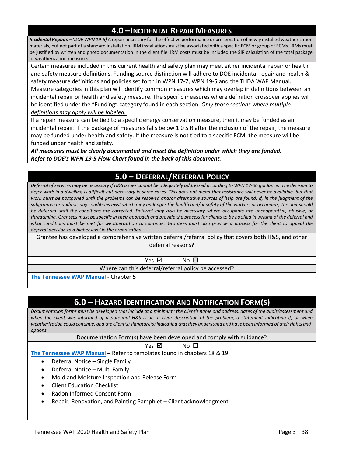## **4.0 –INCIDENTAL REPAIR MEASURES**

*Incidental Repairs – (DOE WPN 19-5)* A repair necessary for the effective performance or preservation of newly installed weatherization materials, but not part of a standard installation. IRM installations must be associated with a specific ECM or group of ECMs. IRMs must be justified by written and photo documentation in the client file. IRM costs must be included the SIR calculation of the total package of weatherization measures.

Certain measures included in this current health and safety plan may meet either incidental repair or health and safety measure definitions. Funding source distinction will adhere to DOE incidental repair and health & safety measure definitions and policies set forth in WPN 17-7, WPN 19-5 and the THDA WAP Manual. Measure categories in this plan will identify common measures which may overlap in definitions between an incidental repair or health and safety measure. The specific measures where definition crossover applies will be identified under the "Funding" category found in each section. *Only those sections where multiple definitions may apply will be labeled.*

If a repair measure can be tied to a specific energy conservation measure, then it may be funded as an incidental repair. If the package of measures falls below 1.0 SIR after the inclusion of the repair, the measure may be funded under health and safety. If the measure is not tied to a specific ECM, the measure will be funded under health and safety.

*All measures must be clearly documented and meet the definition under which they are funded. [Refer to DOE's WPN 19-5 Flow Chart found in the back of this document.](#page-43-0)*

## **5.0 – DEFERRAL/REFERRAL POLICY**

Deferral of services may be necessary if H&S issues cannot be adequately addressed according to WPN 17-06 guidance. The decision to defer work in a dwelling is difficult but necessary in some cases. This does not mean that assistance will never be available, but that work must be postponed until the problems can be resolved and/or alternative sources of help are found. If, in the judgment of the *subgrantee or auditor, any conditions exist which may endanger the health and/or safety of the workers or occupants, the unit should be deferred until the conditions are corrected. Deferral may also be necessary where occupants are uncooperative, abusive, or*  threatening. Grantees must be specific in their approach and provide the process for clients to be notified in writing of the deferral and what conditions must be met for weatherization to continue. Grantees must also provide a process for the client to appeal the *deferral decision to a higher level in the organization.*

Grantee has developed a comprehensive written deferral/referral policy that covers both H&S, and other deferral reasons?

 $Yes \n\boxtimes$  No  $\square$ 

Where can this deferral/referral policy be accessed?

**[The Tennessee WAP Manual](https://s3.amazonaws.com/thda.org/Documents/Business-Partners/Grant-Administrators/Weatherization/Tennessee-WAP-Manual.pdf)** - Chapter 5

## **6.0 – HAZARD IDENTIFICATION AND NOTIFICATION FORM(S)**

Documentation forms must be developed that include at a minimum: the client's name and address, dates of the audit/assessment and *when the client was informed of a potential H&S issue, a clear description of the problem, a statement indicating if, or when*  weatherization could continue, and the client(s) signature(s) indicating that they understand and have been informed of their rights and *options.*

Documentation Form(s) have been developed and comply with guidance?

#### $Yes \n\mathbb{Z}$  No  $\square$

**[The Tennessee WAP Manual](https://s3.amazonaws.com/thda.org/Documents/Business-Partners/Grant-Administrators/Weatherization/Tennessee-WAP-Manual.pdf)** – Refer to templates found in chapters 18 & 19.

- Deferral Notice Single Family
- Deferral Notice Multi Family
- Mold and Moisture Inspection and Release Form
- Client Education Checklist
- Radon Informed Consent Form
- Repair, Renovation, and Painting Pamphlet Client acknowledgment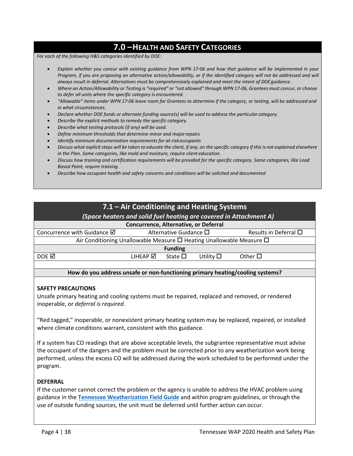## **7.0 –HEALTH AND SAFETY CATEGORIES**

*For each of the following H&S categories identified by DOE:*

- *Explain whether you concur with existing guidance from WPN 17-06 and how that guidance will be implemented in your*  Program, if you are proposing an alternative action/allowability, or if the identified category will not be addressed and will *always result in deferral. Alternatives must be comprehensively explained and meet the intent of DOEguidance.*
- Where an Action/Allowability or Testing is "required" or "not allowed" through WPN 17-06, Grantees must concur, or choose *to defer all units where the specific category is encountered.*
- *"Allowable" items under WPN 17-06 leave room for Grantees to determine if the category, or testing, will be addressed and in what circumstances.*
- <span id="page-4-0"></span>• *Declare whether DOE funds or alternate funding source(s) will be used to address the particular category.*
- *Describe the explicit methods to remedy the specific category.*
- *Describe what testing protocols (if any) will be used.*
- *Define minimum thresholds that determine minor and majorrepairs*
- *Identify minimum documentation requirements for at-riskoccupants*
- Discuss what explicit steps will be taken to educate the client, if any, on the specific category if this is not explained elsewhere *in the Plan. Some categories, like mold and moisture, require client education.*
- *Discuss how training and certification requirements will be provided for the specific category. Some categories, like Lead Based Paint, require training.*
- *Describe how occupant health and safety concerns and conditions will be solicited and documented*

## **7.1 – Air Conditioning and Heating Systems** *(Space heaters and solid fuel heating are covered in Attachment A)* **Concurrence, Alternative, or Deferral** Concurrence with Guidance  $\boxtimes$  Alternative Guidance  $\Box$  Results in Deferral  $\Box$ Air Conditioning Unallowable Measure  $\Box$  Heating Unallowable Measure  $\Box$ **Funding**  $DOE \ \boxtimes$  DOE  $\boxtimes$  DOE  $\boxtimes$  Other  $\square$

#### **How do you address unsafe or non-functioning primary heating/cooling systems?**

#### **SAFETY PRECAUTIONS**

Unsafe primary heating and cooling systems must be repaired, replaced and removed, or rendered inoperable, or *deferral is required*.

"Red tagged," inoperable, or nonexistent primary heating system may be replaced, repaired, or installed where climate conditions warrant, consistent with this guidance.

If a system has CO readings that are above acceptable levels, the subgrantee representative must advise the occupant of the dangers and the problem must be corrected prior to any weatherization work being performed, unless the excess CO will be addressed during the work scheduled to be performed under the program.

#### **DEFERRAL**

If the customer cannot correct the problem or the agency is unable to address the HVAC problem using guidance in the **[Tennessee Weatherization Field Guide](http://wxfieldguide.com/tn/TNWxFieldGuide_2018_SWS.pdf)** and within program guidelines, or through the use of outside funding sources, the unit must be deferred until further action can occur.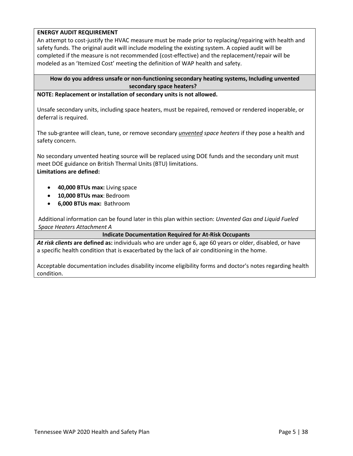#### **ENERGY AUDIT REQUIREMENT**

An attempt to cost-justify the HVAC measure must be made prior to replacing/repairing with health and safety funds. The original audit will include modeling the existing system. A copied audit will be completed if the measure is not recommended (cost-effective) and the replacement/repair will be modeled as an 'Itemized Cost' meeting the definition of WAP health and safety.

#### **How do you address unsafe or non-functioning secondary heating systems, Including unvented secondary space heaters?**

#### **NOTE: Replacement or installation of secondary units is not allowed.**

Unsafe secondary units, including space heaters, must be repaired, removed or rendered inoperable, or deferral is required.

The sub-grantee will clean, tune, or remove secondary *unvented space heaters* if they pose a health and safety concern.

No secondary unvented heating source will be replaced using DOE funds and the secondary unit must meet DOE guidance on British Thermal Units (BTU) limitations. **Limitations are defined:**

- **40,000 BTUs max:** Living space
- **10,000 BTUs max**: Bedroom
- **6,000 BTUs max:** Bathroom

[Additional information can be found later in this plan within section:](#page-39-0) *Unvented Gas and Liquid Fueled [Space Heaters Attachment A](#page-39-0)*

#### **Indicate Documentation Required for At-Risk Occupants**

*At risk clients* **are defined as:** individuals who are under age 6, age 60 years or older, disabled, or have a specific health condition that is exacerbated by the lack of air conditioning in the home.

Acceptable documentation includes disability income eligibility forms and doctor's notes regarding health condition.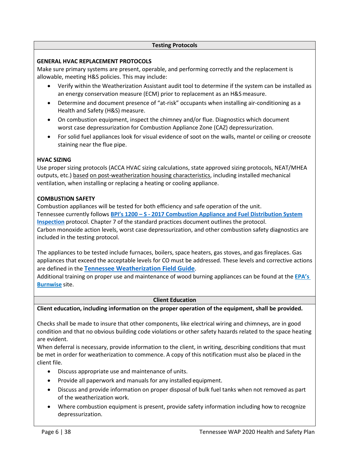#### **Testing Protocols**

#### **GENERAL HVAC REPLACEMENT PROTOCOLS**

Make sure primary systems are present, operable, and performing correctly and the replacement is allowable, meeting H&S policies. This may include:

- Verify within the Weatherization Assistant audit tool to determine if the system can be installed as an energy conservation measure (ECM) prior to replacement as an H&Smeasure.
- Determine and document presence of "at-risk" occupants when installing air-conditioning as a Health and Safety (H&S) measure.
- On combustion equipment, inspect the chimney and/or flue. Diagnostics which document worst case depressurization for Combustion Appliance Zone (CAZ) depressurization.
- For solid fuel appliances look for visual evidence of soot on the walls, mantel or ceiling or creosote staining near the flue pipe.

#### **HVAC SIZING**

Use proper sizing protocols (ACCA HVAC sizing calculations, state approved sizing protocols, NEAT/MHEA outputs, etc.) based on post-weatherization housing characteristics, including installed mechanical ventilation, when installing or replacing a heating or cooling appliance.

#### **COMBUSTION SAFETY**

Combustion appliances will be tested for both efficiency and safe operation of the unit. Tennessee currently follows **[BPI's 1200 – S - 2017 Combustion Appliance and Fuel Distribution System](http://www.bpi.org/sites/default/files/ANSI%20BPI-1200-S-2017%20Standard%20Practice%20for%20Basic%20Analysis%20of%20Buildings.pdf) [Inspection](http://www.bpi.org/sites/default/files/ANSI%20BPI-1200-S-2017%20Standard%20Practice%20for%20Basic%20Analysis%20of%20Buildings.pdf)** protocol. Chapter 7 of the standard practices document outlines the protocol. Carbon monoxide action levels, worst case depressurization, and other combustion safety diagnostics are included in the testing protocol.

The appliances to be tested include furnaces, boilers, space heaters, gas stoves, and gas fireplaces. Gas appliances that exceed the acceptable levels for CO must be addressed. These levels and corrective actions are defined in the **[Tennessee Weatherization Field Guide](http://wxfieldguide.com/tn/TNWxFieldGuide_2018_SWS.pdf)**.

Additional training on proper use and maintenance of wood burning appliances can be found at the **[EPA's](https://www.epa.gov/burnwise/burn-wise-outreach-materials) [Burnwise](https://www.epa.gov/burnwise/burn-wise-outreach-materials)** site.

#### **Client Education**

**Client education, including information on the proper operation of the equipment, shall be provided.**

Checks shall be made to insure that other components, like electrical wiring and chimneys, are in good condition and that no obvious building code violations or other safety hazards related to the space heating are evident.

When deferral is necessary, provide information to the client, in writing, describing conditions that must be met in order for weatherization to commence. A copy of this notification must also be placed in the client file.

- Discuss appropriate use and maintenance of units.
- Provide all paperwork and manuals for any installed equipment.
- Discuss and provide information on proper disposal of bulk fuel tanks when not removed as part of the weatherization work.
- Where combustion equipment is present, provide safety information including how to recognize depressurization.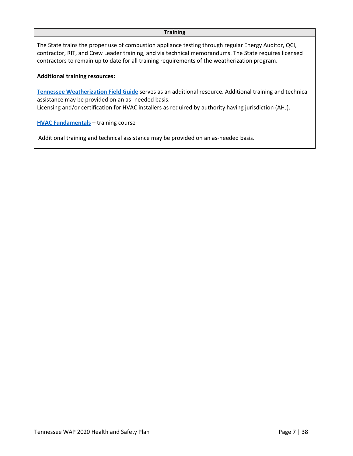#### **Training**

The State trains the proper use of combustion appliance testing through regular Energy Auditor, QCI, contractor, RIT, and Crew Leader training, and via technical memorandums. The State requires licensed contractors to remain up to date for all training requirements of the weatherization program.

#### **Additional training resources:**

**[Tennessee Weatherization Field Guide](http://wxfieldguide.com/tn/TNWxFieldGuide_2018_SWS.pdf)** serves as an additional resource. Additional training and technical assistance may be provided on an as- needed basis. Licensing and/or certification for HVAC installers as required by authority having jurisdiction (AHJ).

**[HVAC Fundamentals](https://www.communityhousingpartners.org/1856/16/hvac-fundamentals.html)** – training course

Additional training and technical assistance may be provided on an as-needed basis.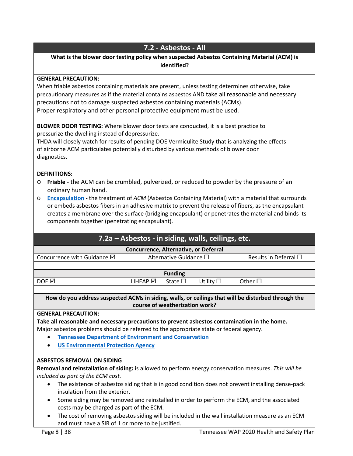## **7.2 - Asbestos - All**

### **What is the blower door testing policy when suspected Asbestos Containing Material (ACM) is identified?**

#### **GENERAL PRECAUTION:**

When friable asbestos containing materials are present, unless testing determines otherwise, take precautionary measures as if the material contains asbestos AND take all reasonable and necessary precautions not to damage suspected asbestos containing materials (ACMs). Proper respiratory and other personal protective equipment must be used.

**BLOWER DOOR TESTING:** Where blower door tests are conducted, it is a best practice to pressurize the dwelling instead of depressurize.

THDA will closely watch for results of pending DOE Vermiculite Study that is analyzing the effects of airborne ACM particulates potentially disturbed by various methods of blower door diagnostics.

#### **DEFINITIONS:**

- o **Friable** the ACM can be crumbled, pulverized, or reduced to powder by the pressure of an ordinary human hand.
- o **[Encapsulation](https://www.epa.gov/sites/production/files/documents/2003pt763_0.pdf)** the treatment of *ACM* (Asbestos Containing Material) with a material that surrounds or embeds asbestos fibers in an adhesive matrix to prevent the release of fibers, as the encapsulant creates a membrane over the surface (bridging encapsulant) or penetrates the material and binds its components together (penetrating encapsulant).

## **7.2a – Asbestos - in siding, walls, ceilings, etc.**

#### **Concurrence, Alternative, or Deferral**

| Concurrence with Guidance $\boxtimes$ | Alternative Guidance $\square$ |                 |                   | Results in Deferral $\square$ |  |
|---------------------------------------|--------------------------------|-----------------|-------------------|-------------------------------|--|
|                                       |                                |                 |                   |                               |  |
|                                       |                                | <b>Funding</b>  |                   |                               |  |
| DOE <b>☑</b>                          | $L$ IHEAP $\boxtimes$          | State $\square$ | Utility $\square$ | Other $\Box$                  |  |

**How do you address suspected ACMs in siding, walls, or ceilings that will be disturbed through the course of weatherization work?**

#### **GENERAL PRECAUTION:**

**Take all reasonable and necessary precautions to prevent asbestos contamination in the home.**  Major asbestos problems should be referred to the appropriate state or federal agency.

- **[Tennessee Department of Environment and](https://www.tn.gov/environment/toxic-substances-program/asbestos-program.html) Conservation**
- **[US Environmental](https://www.epa.gov/asbestos) Protection Agency**

#### **ASBESTOS REMOVAL ON SIDING**

**Removal and reinstallation of siding:** is allowed to perform energy conservation measures. *This will be included as part of the ECM cost.*

- The existence of asbestos siding that is in good condition does not prevent installing dense-pack insulation from the exterior.
- Some siding may be removed and reinstalled in order to perform the ECM, and the associated costs may be charged as part of the ECM.
- The cost of removing asbestos siding will be included in the wall installation measure as an ECM and must have a SIR of 1 or more to be justified.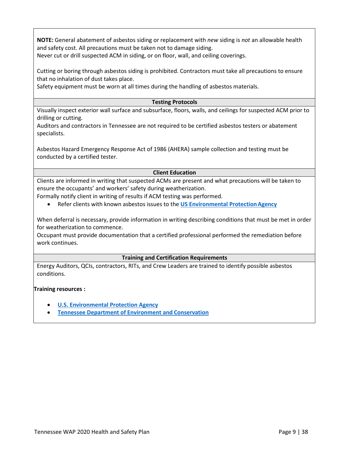**NOTE:** General abatement of asbestos siding or replacement with *new* siding is *not* an allowable health and safety cost. All precautions must be taken not to damage siding. Never cut or drill suspected ACM in siding, or on floor, wall, and ceiling coverings.

Cutting or boring through asbestos siding is prohibited. Contractors must take all precautions to ensure that no inhalation of dust takes place.

Safety equipment must be worn at all times during the handling of asbestos materials.

#### **Testing Protocols**

Visually inspect exterior wall surface and subsurface, floors, walls, and ceilings for suspected ACM prior to drilling or cutting.

Auditors and contractors in Tennessee are not required to be certified asbestos testers or abatement specialists.

Asbestos Hazard Emergency Response Act of 1986 (AHERA) sample collection and testing must be conducted by a certified tester.

#### **Client Education**

Clients are informed in writing that suspected ACMs are present and what precautions will be taken to ensure the occupants' and workers' safety during weatherization.

Formally notify client in writing of results if ACM testing was performed.

• Refer clients with known asbestos issues to the **US Environmental Protection Agency** 

When deferral is necessary, provide information in writing describing conditions that must be met in order for weatherization to commence.

Occupant must provide documentation that a certified professional performed the remediation before work continues.

#### **Training and Certification Requirements**

Energy Auditors, QCIs, contractors, RITs, and Crew Leaders are trained to identify possible asbestos conditions.

#### **Training resources :**

- **[U.S. Environmental Protection Agency](https://www.epa.gov/asbestos/asbestos-training)**
- **[Tennessee Department of Environment and](https://www.tn.gov/environment/toxic-substances-program/asbestos-program.html) Conservation**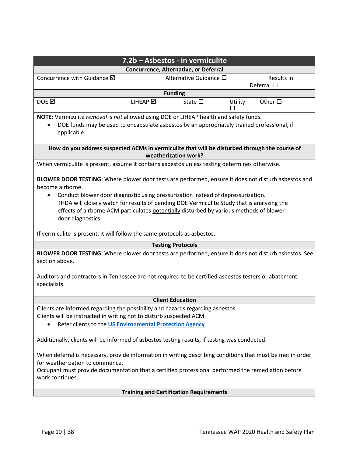| 7.2b - Asbestos - in vermiculite                                                                                                                                                                                                                                                                                                                                                                                          |                                                                                                      |         |                 |  |  |  |  |  |
|---------------------------------------------------------------------------------------------------------------------------------------------------------------------------------------------------------------------------------------------------------------------------------------------------------------------------------------------------------------------------------------------------------------------------|------------------------------------------------------------------------------------------------------|---------|-----------------|--|--|--|--|--|
| Concurrence, Alternative, or Deferral                                                                                                                                                                                                                                                                                                                                                                                     |                                                                                                      |         |                 |  |  |  |  |  |
| Concurrence with Guidance Ø<br>Alternative Guidance $\square$<br>Results in<br>Deferral $\square$                                                                                                                                                                                                                                                                                                                         |                                                                                                      |         |                 |  |  |  |  |  |
| <b>Funding</b>                                                                                                                                                                                                                                                                                                                                                                                                            |                                                                                                      |         |                 |  |  |  |  |  |
| DOE <b>⊠</b>                                                                                                                                                                                                                                                                                                                                                                                                              | LIHEAP Ø<br>State $\square$                                                                          | Utility | Other $\square$ |  |  |  |  |  |
| NOTE: Vermiculite removal is not allowed using DOE or LIHEAP health and safety funds.<br>DOE funds may be used to encapsulate asbestos by an appropriately trained professional, if<br>applicable.                                                                                                                                                                                                                        |                                                                                                      |         |                 |  |  |  |  |  |
| How do you address suspected ACMs in vermiculite that will be disturbed through the course of                                                                                                                                                                                                                                                                                                                             | weatherization work?                                                                                 |         |                 |  |  |  |  |  |
| When vermiculite is present, assume it contains asbestos unless testing determines otherwise.                                                                                                                                                                                                                                                                                                                             |                                                                                                      |         |                 |  |  |  |  |  |
| BLOWER DOOR TESTING: Where blower door tests are performed, ensure it does not disturb asbestos and<br>become airborne.<br>Conduct blower door diagnostic using pressurization instead of depressurization.<br>THDA will closely watch for results of pending DOE Vermiculite Study that is analyzing the<br>effects of airborne ACM particulates potentially disturbed by various methods of blower<br>door diagnostics. |                                                                                                      |         |                 |  |  |  |  |  |
| If vermiculite is present, it will follow the same protocols as asbestos.                                                                                                                                                                                                                                                                                                                                                 |                                                                                                      |         |                 |  |  |  |  |  |
|                                                                                                                                                                                                                                                                                                                                                                                                                           | <b>Testing Protocols</b>                                                                             |         |                 |  |  |  |  |  |
| BLOWER DOOR TESTING: Where blower door tests are performed, ensure it does not disturb asbestos. See<br>section above.                                                                                                                                                                                                                                                                                                    |                                                                                                      |         |                 |  |  |  |  |  |
| specialists.                                                                                                                                                                                                                                                                                                                                                                                                              | Auditors and contractors in Tennessee are not required to be certified asbestos testers or abatement |         |                 |  |  |  |  |  |
|                                                                                                                                                                                                                                                                                                                                                                                                                           | <b>Client Education</b>                                                                              |         |                 |  |  |  |  |  |
| Clients are informed regarding the possibility and hazards regarding asbestos.<br>Clients will be instructed in writing not to disturb suspected ACM.<br>Refer clients to the US Environmental Protection Agency<br>$\bullet$                                                                                                                                                                                             |                                                                                                      |         |                 |  |  |  |  |  |
| Additionally, clients will be informed of asbestos testing results, if testing was conducted.                                                                                                                                                                                                                                                                                                                             |                                                                                                      |         |                 |  |  |  |  |  |
| When deferral is necessary, provide information in writing describing conditions that must be met in order<br>for weatherization to commence.<br>Occupant must provide documentation that a certified professional performed the remediation before<br>work continues.                                                                                                                                                    |                                                                                                      |         |                 |  |  |  |  |  |
|                                                                                                                                                                                                                                                                                                                                                                                                                           | <b>Training and Certification Requirements</b>                                                       |         |                 |  |  |  |  |  |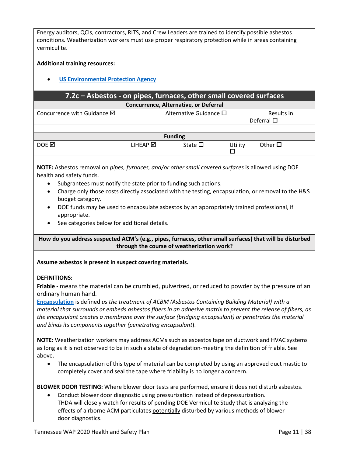Energy auditors, QCIs, contractors, RITS, and Crew Leaders are trained to identify possible asbestos conditions. Weatherization workers must use proper respiratory protection while in areas containing vermiculite.

#### **Additional training resources:**

#### • **[US Environmental Protection](https://www.epa.gov/asbestos/asbestos-training) Agency**

#### **7.2c – Asbestos - on pipes, furnaces, other small covered surfaces Concurrence, Alternative, or Deferral**

| Concurrence with Guidance $\boxtimes$ | Alternative Guidance $\square$ |                 |         | Results in<br>Deferral $\square$ |
|---------------------------------------|--------------------------------|-----------------|---------|----------------------------------|
|                                       |                                |                 |         |                                  |
|                                       |                                | <b>Funding</b>  |         |                                  |
| DOE <b>M</b>                          | LIHEAP $\boxtimes$             | State $\square$ | Utility | Other $\square$                  |

**NOTE:** Asbestos removal on *pipes, furnaces, and/or other small covered surfaces* is allowed using DOE health and safety funds.

- Subgrantees must notify the state prior to funding such actions.
- Charge only those costs directly associated with the testing, encapsulation, or removal to the H&S budget category.
- DOE funds may be used to encapsulate asbestos by an appropriately trained professional, if appropriate.
- See categories below for additional details.

**How do you address suspected ACM's (e.g., pipes, furnaces, other small surfaces) that will be disturbed through the course of weatherization work?**

#### **Assume asbestos is present in suspect covering materials.**

#### **DEFINITIONS:**

**Friable -** means the material can be crumbled, pulverized, or reduced to powder by the pressure of an ordinary human hand.

**[Encapsulation](https://www.epa.gov/sites/production/files/documents/2003pt763_0.pdf)** is defined *as the treatment of ACBM (Asbestos Containing Building Material) with a material that surrounds or embeds asbestos fibers in an adhesive matrix to prevent the release of fibers, as the encapsulant creates a membrane over the surface (bridging encapsulant) or penetrates the material and binds its components together (penetrating encapsulant*).

**NOTE:** Weatherization workers may address ACMs such as asbestos tape on ductwork and HVAC systems as long as it is not observed to be in such a state of degradation-meeting the definition of friable. See above.

• The encapsulation of this type of material can be completed by using an approved duct mastic to completely cover and seal the tape where friability is no longer a concern.

**BLOWER DOOR TESTING:** Where blower door tests are performed, ensure it does not disturb asbestos.

• Conduct blower door diagnostic using pressurization instead of depressurization. THDA will closely watch for results of pending DOE Vermiculite Study that is analyzing the effects of airborne ACM particulates potentially disturbed by various methods of blower door diagnostics.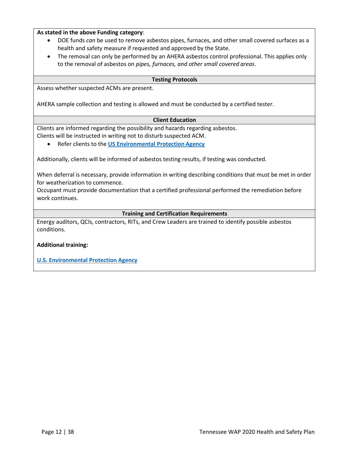#### **As stated in the above Funding category**:

- DOE funds *can* be used to remove asbestos pipes, furnaces, and other small covered surfaces as a health and safety measure if requested and approved by the State.
- The removal can only be performed by an AHERA asbestos control professional. This applies only to the removal of asbestos on *pipes, furnaces, and other small covered areas*.

#### **Testing Protocols**

Assess whether suspected ACMs are present.

AHERA sample collection and testing is allowed and must be conducted by a certified tester.

#### **Client Education**

Clients are informed regarding the possibility and hazards regarding asbestos. Clients will be instructed in writing not to disturb suspected ACM.

• Refer clients to the **[US Environmental Protection](https://www.epa.gov/asbestos) Agency**

Additionally, clients will be informed of asbestos testing results, if testing was conducted.

When deferral is necessary, provide information in writing describing conditions that must be met in order for weatherization to commence.

Occupant must provide documentation that a certified professional performed the remediation before work continues.

#### **Training and Certification Requirements**

Energy auditors, QCIs, contractors, RITs, and Crew Leaders are trained to identify possible asbestos conditions.

#### **Additional training:**

**[U.S. Environmental Protection Agency](https://www.epa.gov/asbestos/asbestos-training)**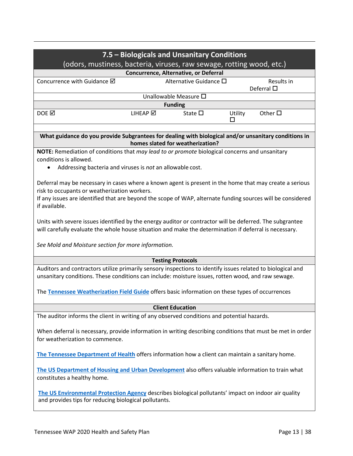| 7.5 - Biologicals and Unsanitary Conditions<br>(odors, mustiness, bacteria, viruses, raw sewage, rotting wood, etc.)                                                                                               |                                                                                                                                                               |                                       |              |                                  |  |  |  |
|--------------------------------------------------------------------------------------------------------------------------------------------------------------------------------------------------------------------|---------------------------------------------------------------------------------------------------------------------------------------------------------------|---------------------------------------|--------------|----------------------------------|--|--|--|
|                                                                                                                                                                                                                    |                                                                                                                                                               | Concurrence, Alternative, or Deferral |              |                                  |  |  |  |
| Concurrence with Guidance Ø                                                                                                                                                                                        |                                                                                                                                                               | Alternative Guidance □                |              | Results in<br>Deferral $\square$ |  |  |  |
|                                                                                                                                                                                                                    |                                                                                                                                                               | Unallowable Measure O                 |              |                                  |  |  |  |
|                                                                                                                                                                                                                    |                                                                                                                                                               | <b>Funding</b>                        |              |                                  |  |  |  |
| DOE <b>M</b>                                                                                                                                                                                                       | LIHEAP Ø                                                                                                                                                      | State $\square$                       | Utility<br>П | Other $\square$                  |  |  |  |
| What guidance do you provide Subgrantees for dealing with biological and/or unsanitary conditions in                                                                                                               |                                                                                                                                                               | homes slated for weatherization?      |              |                                  |  |  |  |
| NOTE: Remediation of conditions that may lead to or promote biological concerns and unsanitary                                                                                                                     |                                                                                                                                                               |                                       |              |                                  |  |  |  |
| conditions is allowed.                                                                                                                                                                                             |                                                                                                                                                               |                                       |              |                                  |  |  |  |
| Addressing bacteria and viruses is not an allowable cost.<br>$\bullet$                                                                                                                                             |                                                                                                                                                               |                                       |              |                                  |  |  |  |
|                                                                                                                                                                                                                    |                                                                                                                                                               |                                       |              |                                  |  |  |  |
| Deferral may be necessary in cases where a known agent is present in the home that may create a serious                                                                                                            |                                                                                                                                                               |                                       |              |                                  |  |  |  |
| risk to occupants or weatherization workers.                                                                                                                                                                       |                                                                                                                                                               |                                       |              |                                  |  |  |  |
| If any issues are identified that are beyond the scope of WAP, alternate funding sources will be considered<br>if available.                                                                                       |                                                                                                                                                               |                                       |              |                                  |  |  |  |
|                                                                                                                                                                                                                    |                                                                                                                                                               |                                       |              |                                  |  |  |  |
| Units with severe issues identified by the energy auditor or contractor will be deferred. The subgrantee<br>will carefully evaluate the whole house situation and make the determination if deferral is necessary. |                                                                                                                                                               |                                       |              |                                  |  |  |  |
| See Mold and Moisture section for more information.                                                                                                                                                                |                                                                                                                                                               |                                       |              |                                  |  |  |  |
|                                                                                                                                                                                                                    |                                                                                                                                                               | <b>Testing Protocols</b>              |              |                                  |  |  |  |
| Auditors and contractors utilize primarily sensory inspections to identify issues related to biological and<br>unsanitary conditions. These conditions can include: moisture issues, rotten wood, and raw sewage.  |                                                                                                                                                               |                                       |              |                                  |  |  |  |
| The Tennessee Weatherization Field Guide offers basic information on these types of occurrences                                                                                                                    |                                                                                                                                                               |                                       |              |                                  |  |  |  |
|                                                                                                                                                                                                                    |                                                                                                                                                               | <b>Client Education</b>               |              |                                  |  |  |  |
| The auditor informs the client in writing of any observed conditions and potential hazards.                                                                                                                        |                                                                                                                                                               |                                       |              |                                  |  |  |  |
|                                                                                                                                                                                                                    |                                                                                                                                                               |                                       |              |                                  |  |  |  |
| When deferral is necessary, provide information in writing describing conditions that must be met in order<br>for weatherization to commence.                                                                      |                                                                                                                                                               |                                       |              |                                  |  |  |  |
| The Tennessee Department of Health offers information how a client can maintain a sanitary home.                                                                                                                   |                                                                                                                                                               |                                       |              |                                  |  |  |  |
|                                                                                                                                                                                                                    |                                                                                                                                                               |                                       |              |                                  |  |  |  |
| The US Department of Housing and Urban Development also offers valuable information to train what<br>constitutes a healthy home.                                                                                   |                                                                                                                                                               |                                       |              |                                  |  |  |  |
|                                                                                                                                                                                                                    | The US Environmental Protection Agency describes biological pollutants' impact on indoor air quality<br>and provides tips for reducing biological pollutants. |                                       |              |                                  |  |  |  |
|                                                                                                                                                                                                                    |                                                                                                                                                               |                                       |              |                                  |  |  |  |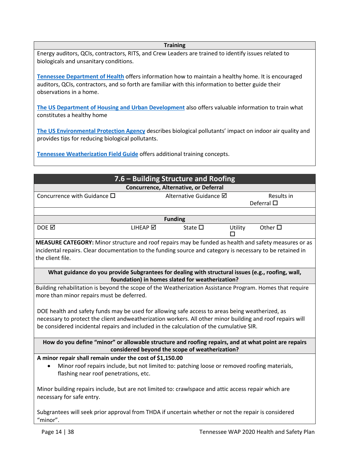#### **Training**

Energy auditors, QCIs, contractors, RITS, and Crew Leaders are trained to identify issues related to biologicals and unsanitary conditions.

**[Tennessee Department of Health](https://www.tn.gov/health/cedep/environmental/healthy-homes.html)** offers information how to maintain a healthy home. It is encouraged auditors, QCIs, contractors, and so forth are familiar with this information to better guide their observations in a home.

**[The US Department of Housing and Urban Development](https://www.hud.gov/program_offices/healthy_homes/healthyhomes)** also offers valuable information to train what constitutes a healthy home

**[The US Environmental Protection Agency](https://www.epa.gov/indoor-air-quality-iaq/biological-pollutants-impact-indoor-air-quality)** describes biological pollutants' impact on indoor air quality and provides tips for reducing biological pollutants.

**[Tennessee Weatherization Field Guide](http://wxfieldguide.com/tn/TNWxFieldGuide_2018_SWS.pdf)** offers additional training concepts.

| 7.6 – Building Structure and Roofing                                                                            |          |                                                 |         |                                  |  |  |
|-----------------------------------------------------------------------------------------------------------------|----------|-------------------------------------------------|---------|----------------------------------|--|--|
| Concurrence, Alternative, or Deferral                                                                           |          |                                                 |         |                                  |  |  |
| Concurrence with Guidance $\square$                                                                             |          | Alternative Guidance Ø                          |         | Results in<br>Deferral $\square$ |  |  |
|                                                                                                                 |          |                                                 |         |                                  |  |  |
|                                                                                                                 |          | <b>Funding</b>                                  |         |                                  |  |  |
| DOE <b>M</b>                                                                                                    | LIHEAP Ø | State $\square$                                 | Utility | Other $\square$                  |  |  |
| MEASURE CATEGORY: Minor structure and roof repairs may be funded as health and safety measures or as            |          |                                                 |         |                                  |  |  |
| incidental repairs. Clear documentation to the funding source and category is necessary to be retained in       |          |                                                 |         |                                  |  |  |
| the client file.                                                                                                |          |                                                 |         |                                  |  |  |
| What guidance do you provide Subgrantees for dealing with structural issues (e.g., roofing, wall,               |          |                                                 |         |                                  |  |  |
|                                                                                                                 |          | foundation) in homes slated for weatherization? |         |                                  |  |  |
| Building rehabilitation is beyond the scope of the Weatherization Assistance Program. Homes that require        |          |                                                 |         |                                  |  |  |
| more than minor repairs must be deferred.                                                                       |          |                                                 |         |                                  |  |  |
|                                                                                                                 |          |                                                 |         |                                  |  |  |
| DOE health and safety funds may be used for allowing safe access to areas being weatherized, as                 |          |                                                 |         |                                  |  |  |
| necessary to protect the client andweatherization workers. All other minor building and roof repairs will       |          |                                                 |         |                                  |  |  |
| be considered incidental repairs and included in the calculation of the cumulative SIR.                         |          |                                                 |         |                                  |  |  |
| How do you define "minor" or allowable structure and roofing repairs, and at what point are repairs             |          |                                                 |         |                                  |  |  |
|                                                                                                                 |          | considered beyond the scope of weatherization?  |         |                                  |  |  |
| A minor repair shall remain under the cost of \$1,150.00                                                        |          |                                                 |         |                                  |  |  |
| Minor roof repairs include, but not limited to: patching loose or removed roofing materials,<br>$\bullet$       |          |                                                 |         |                                  |  |  |
| flashing near roof penetrations, etc.                                                                           |          |                                                 |         |                                  |  |  |
| Minor building repairs include, but are not limited to: crawlspace and attic access repair which are            |          |                                                 |         |                                  |  |  |
| necessary for safe entry.                                                                                       |          |                                                 |         |                                  |  |  |
| Subgrantees will seek prior approval from THDA if uncertain whether or not the repair is considered<br>"minor". |          |                                                 |         |                                  |  |  |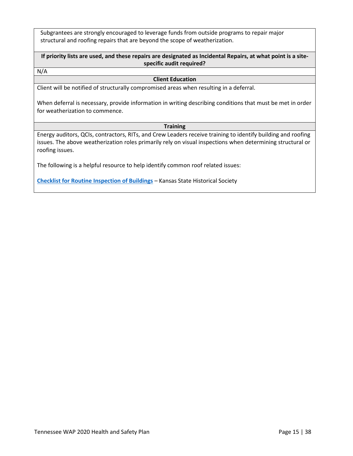Subgrantees are strongly encouraged to leverage funds from outside programs to repair major structural and roofing repairs that are beyond the scope of weatherization.

**If priority lists are used, and these repairs are designated as Incidental Repairs, at what point is a sitespecific audit required?**

N/A

#### **Client Education**

Client will be notified of structurally compromised areas when resulting in a deferral.

When deferral is necessary, provide information in writing describing conditions that must be met in order for weatherization to commence.

#### **Training**

Energy auditors, QCIs, contractors, RITs, and Crew Leaders receive training to identify building and roofing issues. The above weatherization roles primarily rely on visual inspections when determining structural or roofing issues.

The following is a helpful resource to help identify common roof related issues:

**[Checklist for Routine Inspection of Buildings](https://www.gsa.gov/real-estate/historic-preservation/historic-preservation-policy-tools/preservation-tools-resources/technical-documents?Form_Load=88114)** – Kansas State Historical Society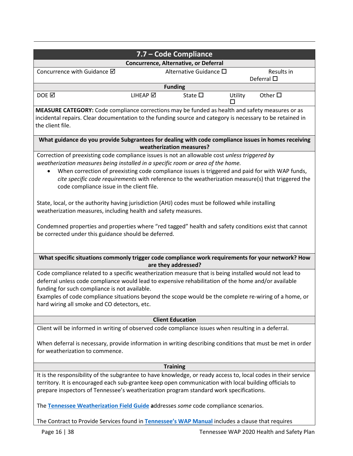|                                                                                                                                                                                                                                                                                                                                                                                                                                                                                                                                                                                                                                                                                                                                    |                                                                                                                                                                                                                                                                                                                                                                                                                         | 7.7 - Code Compliance    |         |                    |  |  |
|------------------------------------------------------------------------------------------------------------------------------------------------------------------------------------------------------------------------------------------------------------------------------------------------------------------------------------------------------------------------------------------------------------------------------------------------------------------------------------------------------------------------------------------------------------------------------------------------------------------------------------------------------------------------------------------------------------------------------------|-------------------------------------------------------------------------------------------------------------------------------------------------------------------------------------------------------------------------------------------------------------------------------------------------------------------------------------------------------------------------------------------------------------------------|--------------------------|---------|--------------------|--|--|
|                                                                                                                                                                                                                                                                                                                                                                                                                                                                                                                                                                                                                                                                                                                                    | Concurrence, Alternative, or Deferral                                                                                                                                                                                                                                                                                                                                                                                   |                          |         |                    |  |  |
| Concurrence with Guidance Ø                                                                                                                                                                                                                                                                                                                                                                                                                                                                                                                                                                                                                                                                                                        |                                                                                                                                                                                                                                                                                                                                                                                                                         | Alternative Guidance □   |         | Results in         |  |  |
|                                                                                                                                                                                                                                                                                                                                                                                                                                                                                                                                                                                                                                                                                                                                    |                                                                                                                                                                                                                                                                                                                                                                                                                         |                          |         | Deferral $\square$ |  |  |
|                                                                                                                                                                                                                                                                                                                                                                                                                                                                                                                                                                                                                                                                                                                                    |                                                                                                                                                                                                                                                                                                                                                                                                                         | <b>Funding</b>           |         |                    |  |  |
| DOE <b>⊠</b>                                                                                                                                                                                                                                                                                                                                                                                                                                                                                                                                                                                                                                                                                                                       | LIHEAP Ø                                                                                                                                                                                                                                                                                                                                                                                                                | State $\square$          | Utility | Other $\square$    |  |  |
| MEASURE CATEGORY: Code compliance corrections may be funded as health and safety measures or as<br>incidental repairs. Clear documentation to the funding source and category is necessary to be retained in<br>the client file.                                                                                                                                                                                                                                                                                                                                                                                                                                                                                                   |                                                                                                                                                                                                                                                                                                                                                                                                                         |                          |         |                    |  |  |
| What guidance do you provide Subgrantees for dealing with code compliance issues in homes receiving                                                                                                                                                                                                                                                                                                                                                                                                                                                                                                                                                                                                                                |                                                                                                                                                                                                                                                                                                                                                                                                                         | weatherization measures? |         |                    |  |  |
| Correction of preexisting code compliance issues is not an allowable cost unless triggered by<br>weatherization measures being installed in a specific room or area of the home.<br>When correction of preexisting code compliance issues is triggered and paid for with WAP funds,<br>$\bullet$<br>cite specific code requirements with reference to the weatherization measure(s) that triggered the<br>code compliance issue in the client file.<br>State, local, or the authority having jurisdiction (AHJ) codes must be followed while installing<br>weatherization measures, including health and safety measures.<br>Condemned properties and properties where "red tagged" health and safety conditions exist that cannot |                                                                                                                                                                                                                                                                                                                                                                                                                         |                          |         |                    |  |  |
| be corrected under this guidance should be deferred.<br>What specific situations commonly trigger code compliance work requirements for your network? How                                                                                                                                                                                                                                                                                                                                                                                                                                                                                                                                                                          |                                                                                                                                                                                                                                                                                                                                                                                                                         |                          |         |                    |  |  |
|                                                                                                                                                                                                                                                                                                                                                                                                                                                                                                                                                                                                                                                                                                                                    |                                                                                                                                                                                                                                                                                                                                                                                                                         | are they addressed?      |         |                    |  |  |
|                                                                                                                                                                                                                                                                                                                                                                                                                                                                                                                                                                                                                                                                                                                                    | Code compliance related to a specific weatherization measure that is being installed would not lead to<br>deferral unless code compliance would lead to expensive rehabilitation of the home and/or available<br>funding for such compliance is not available.<br>Examples of code compliance situations beyond the scope would be the complete re-wiring of a home, or<br>hard wiring all smoke and CO detectors, etc. |                          |         |                    |  |  |
|                                                                                                                                                                                                                                                                                                                                                                                                                                                                                                                                                                                                                                                                                                                                    |                                                                                                                                                                                                                                                                                                                                                                                                                         | <b>Client Education</b>  |         |                    |  |  |
| Client will be informed in writing of observed code compliance issues when resulting in a deferral.                                                                                                                                                                                                                                                                                                                                                                                                                                                                                                                                                                                                                                |                                                                                                                                                                                                                                                                                                                                                                                                                         |                          |         |                    |  |  |
| When deferral is necessary, provide information in writing describing conditions that must be met in order<br>for weatherization to commence.                                                                                                                                                                                                                                                                                                                                                                                                                                                                                                                                                                                      |                                                                                                                                                                                                                                                                                                                                                                                                                         |                          |         |                    |  |  |
| <b>Training</b>                                                                                                                                                                                                                                                                                                                                                                                                                                                                                                                                                                                                                                                                                                                    |                                                                                                                                                                                                                                                                                                                                                                                                                         |                          |         |                    |  |  |
|                                                                                                                                                                                                                                                                                                                                                                                                                                                                                                                                                                                                                                                                                                                                    | It is the responsibility of the subgrantee to have knowledge, or ready access to, local codes in their service<br>territory. It is encouraged each sub-grantee keep open communication with local building officials to<br>prepare inspectors of Tennessee's weatherization program standard work specifications.                                                                                                       |                          |         |                    |  |  |
| The Tennessee Weatherization Field Guide addresses some code compliance scenarios.                                                                                                                                                                                                                                                                                                                                                                                                                                                                                                                                                                                                                                                 |                                                                                                                                                                                                                                                                                                                                                                                                                         |                          |         |                    |  |  |
| The Contract to Provide Services found in Tennessee's WAP Manual includes a clause that requires                                                                                                                                                                                                                                                                                                                                                                                                                                                                                                                                                                                                                                   |                                                                                                                                                                                                                                                                                                                                                                                                                         |                          |         |                    |  |  |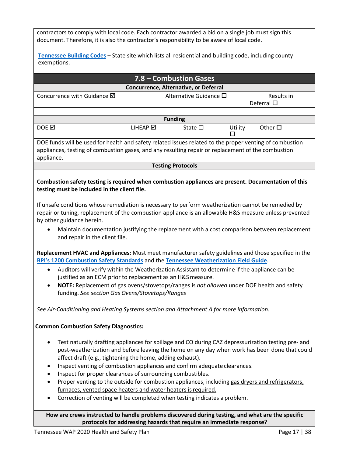contractors to comply with local code. Each contractor awarded a bid on a single job must sign this document. Therefore, it is also the contractor's responsibility to be aware of local code.

**[Tennessee Building Codes](https://www.tn.gov/commerce/fire/codes-enforcement.html)** – State site which lists all residential and building code, including county exemptions.

| 7.8 - Combustion Gases                                                                                                                                                                                                                                                                                                                                                                                                 |
|------------------------------------------------------------------------------------------------------------------------------------------------------------------------------------------------------------------------------------------------------------------------------------------------------------------------------------------------------------------------------------------------------------------------|
| Concurrence, Alternative, or Deferral                                                                                                                                                                                                                                                                                                                                                                                  |
| Concurrence with Guidance Ø<br>Alternative Guidance □<br>Results in<br>Deferral $\square$                                                                                                                                                                                                                                                                                                                              |
|                                                                                                                                                                                                                                                                                                                                                                                                                        |
| <b>Funding</b>                                                                                                                                                                                                                                                                                                                                                                                                         |
| DOE <b>M</b><br>LIHEAP Ø<br>State $\square$<br>Other $\square$<br>Utility<br>п                                                                                                                                                                                                                                                                                                                                         |
| DOE funds will be used for health and safety related issues related to the proper venting of combustion<br>appliances, testing of combustion gases, and any resulting repair or replacement of the combustion<br>appliance.                                                                                                                                                                                            |
| <b>Testing Protocols</b>                                                                                                                                                                                                                                                                                                                                                                                               |
| Combustion safety testing is required when combustion appliances are present. Documentation of this<br>testing must be included in the client file.                                                                                                                                                                                                                                                                    |
| If unsafe conditions whose remediation is necessary to perform weatherization cannot be remedied by<br>repair or tuning, replacement of the combustion appliance is an allowable H&S measure unless prevented<br>by other guidance herein.                                                                                                                                                                             |
| Maintain documentation justifying the replacement with a cost comparison between replacement<br>and repair in the client file.                                                                                                                                                                                                                                                                                         |
| Replacement HVAC and Appliances: Must meet manufacturer safety guidelines and those specified in the<br>BPI's 1200 Combustion Safety Standards and the Tennessee Weatherization Field Guide.                                                                                                                                                                                                                           |
| Auditors will verify within the Weatherization Assistant to determine if the appliance can be<br>$\bullet$<br>justified as an ECM prior to replacement as an H&S measure.                                                                                                                                                                                                                                              |
| NOTE: Replacement of gas ovens/stovetops/ranges is not allowed under DOE health and safety<br>funding. See section Gas Ovens/Stovetops/Ranges                                                                                                                                                                                                                                                                          |
| See Air-Conditioning and Heating Systems section and Attachment A for more information.                                                                                                                                                                                                                                                                                                                                |
| <b>Common Combustion Safety Diagnostics:</b>                                                                                                                                                                                                                                                                                                                                                                           |
| Test naturally drafting appliances for spillage and CO during CAZ depressurization testing pre- and<br>post-weatherization and before leaving the home on any day when work has been done that could<br>affect draft (e.g., tightening the home, adding exhaust).<br>Inspect venting of combustion appliances and confirm adequate clearances.<br>٠<br>Inspect for proper clearances of surrounding combustibles.<br>٠ |
| Proper venting to the outside for combustion appliances, including gas dryers and refrigerators,<br>furnaces, vented space heaters and water heaters is required.<br>Correction of venting will be completed when testing indicates a problem.                                                                                                                                                                         |
| How are crews instructed to handle problems discovered during testing, and what are the specific<br>protocols for addressing hazards that require an immediate response?                                                                                                                                                                                                                                               |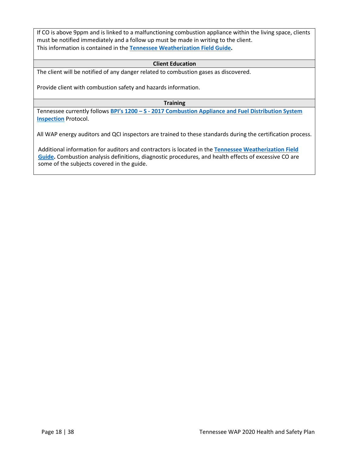If CO is above 9ppm and is linked to a malfunctioning combustion appliance within the living space, clients must be notified immediately and a follow up must be made in writing to the client. This information is contained in the **[Tennessee Weatherization Field Guide.](http://wxfieldguide.com/tn/TNWxFieldGuide_2018_SWS.pdf)** 

#### **Client Education**

The client will be notified of any danger related to combustion gases as discovered.

Provide client with combustion safety and hazards information.

**Training**

Tennessee currently follows **BPI's 1200 – S - [2017 Combustion Appliance and Fuel Distribution System](http://www.bpi.org/sites/default/files/ANSI%20BPI-1200-S-2017%20Standard%20Practice%20for%20Basic%20Analysis%20of%20Buildings.pdf) [Inspection](http://www.bpi.org/sites/default/files/ANSI%20BPI-1200-S-2017%20Standard%20Practice%20for%20Basic%20Analysis%20of%20Buildings.pdf)** Protocol.

All WAP energy auditors and QCI inspectors are trained to these standards during the certification process.

Additional information for auditors and contractors is located in the **[Tennessee Weatherization Field](http://wxfieldguide.com/tn/TNWxFieldGuide_2018_SWS.pdf) [Guide.](http://wxfieldguide.com/tn/TNWxFieldGuide_2018_SWS.pdf)** Combustion analysis definitions, diagnostic procedures, and health effects of excessive CO are some of the subjects covered in the guide.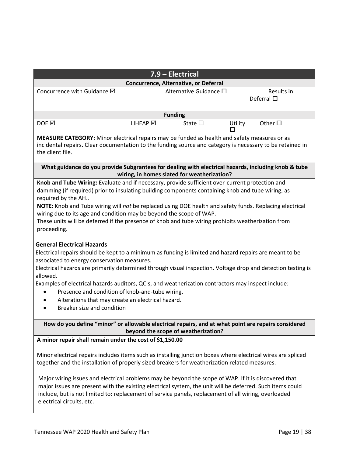|                                                                                                                                                                                                                                    | 7.9 - Electrical                                                                                                                                                                                                                                                                                                                                                                                                      |  |  |  |  |  |
|------------------------------------------------------------------------------------------------------------------------------------------------------------------------------------------------------------------------------------|-----------------------------------------------------------------------------------------------------------------------------------------------------------------------------------------------------------------------------------------------------------------------------------------------------------------------------------------------------------------------------------------------------------------------|--|--|--|--|--|
|                                                                                                                                                                                                                                    | Concurrence, Alternative, or Deferral                                                                                                                                                                                                                                                                                                                                                                                 |  |  |  |  |  |
| Concurrence with Guidance Ø                                                                                                                                                                                                        | Alternative Guidance □<br>Results in<br>Deferral $\square$                                                                                                                                                                                                                                                                                                                                                            |  |  |  |  |  |
|                                                                                                                                                                                                                                    |                                                                                                                                                                                                                                                                                                                                                                                                                       |  |  |  |  |  |
|                                                                                                                                                                                                                                    | <b>Funding</b>                                                                                                                                                                                                                                                                                                                                                                                                        |  |  |  |  |  |
| DOE $\boxtimes$<br>LIHEAP Ø                                                                                                                                                                                                        | Utility<br>Other $\square$<br>State $\square$<br>ΙI                                                                                                                                                                                                                                                                                                                                                                   |  |  |  |  |  |
| MEASURE CATEGORY: Minor electrical repairs may be funded as health and safety measures or as<br>incidental repairs. Clear documentation to the funding source and category is necessary to be retained in<br>the client file.      |                                                                                                                                                                                                                                                                                                                                                                                                                       |  |  |  |  |  |
|                                                                                                                                                                                                                                    | What guidance do you provide Subgrantees for dealing with electrical hazards, including knob & tube<br>wiring, in homes slated for weatherization?                                                                                                                                                                                                                                                                    |  |  |  |  |  |
| required by the AHJ.<br>wiring due to its age and condition may be beyond the scope of WAP.<br>proceeding.                                                                                                                         | Knob and Tube Wiring: Evaluate and if necessary, provide sufficient over-current protection and<br>damming (if required) prior to insulating building components containing knob and tube wiring, as<br>NOTE: Knob and Tube wiring will not be replaced using DOE health and safety funds. Replacing electrical<br>These units will be deferred if the presence of knob and tube wiring prohibits weatherization from |  |  |  |  |  |
| <b>General Electrical Hazards</b><br>associated to energy conservation measures.<br>allowed.<br>Presence and condition of knob-and-tube wiring.<br>Alterations that may create an electrical hazard.<br>Breaker size and condition | Electrical repairs should be kept to a minimum as funding is limited and hazard repairs are meant to be<br>Electrical hazards are primarily determined through visual inspection. Voltage drop and detection testing is<br>Examples of electrical hazards auditors, QCIs, and weatherization contractors may inspect include:                                                                                         |  |  |  |  |  |
|                                                                                                                                                                                                                                    | How do you define "minor" or allowable electrical repairs, and at what point are repairs considered<br>beyond the scope of weatherization?                                                                                                                                                                                                                                                                            |  |  |  |  |  |
| A minor repair shall remain under the cost of \$1,150.00                                                                                                                                                                           |                                                                                                                                                                                                                                                                                                                                                                                                                       |  |  |  |  |  |
|                                                                                                                                                                                                                                    | Minor electrical repairs includes items such as installing junction boxes where electrical wires are spliced<br>together and the installation of properly sized breakers for weatherization related measures.                                                                                                                                                                                                         |  |  |  |  |  |

Major wiring issues and electrical problems may be beyond the scope of WAP. If it is discovered that major issues are present with the existing electrical system, the unit will be deferred. Such items could include, but is not limited to: replacement of service panels, replacement of all wiring, overloaded electrical circuits, etc.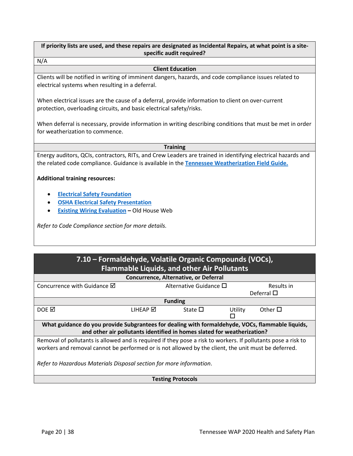**If priority lists are used, and these repairs are designated as Incidental Repairs, at what point is a sitespecific audit required?**

N/A

#### **Client Education**

Clients will be notified in writing of imminent dangers, hazards, and code compliance issues related to electrical systems when resulting in a deferral.

When electrical issues are the cause of a deferral, provide information to client on over-current protection, overloading circuits, and basic electrical safety/risks.

When deferral is necessary, provide information in writing describing conditions that must be met in order for weatherization to commence.

#### **Training**

Energy auditors, QCIs, contractors, RITs, and Crew Leaders are trained in identifying electrical hazards and the related code compliance. Guidance is available in the **[Tennessee Weatherization Field Guide.](http://wxfieldguide.com/tn/TNWxFieldGuide_2018_SWS.pdf)**

#### **Additional training resources:**

- **[Electrical Safety](http://www.esfi.org/electrical-safety) Foundation**
- **[OSHA Electrical Safety Presentation](https://www.osha.gov/dte/grant_materials/fy08/sh-17792-08/electrical_english_r6.pdf)**
- **[Existing Wiring Evaluation](http://www.oldhouseweb.com/how-to-advice/evaluating-your-homes-wiring-system.shtml)** Old House Web

*Refer to Code Compliance section for more details.*

## **7.10 – Formaldehyde, Volatile Organic Compounds (VOCs), Flammable Liquids, and other Air Pollutants**

| Concurrence, Alternative, or Deferral                                                                         |                 |                                                                         |         |                    |  |  |
|---------------------------------------------------------------------------------------------------------------|-----------------|-------------------------------------------------------------------------|---------|--------------------|--|--|
| Concurrence with Guidance $\boxtimes$                                                                         |                 | Alternative Guidance $\Box$<br>Results in                               |         |                    |  |  |
|                                                                                                               |                 |                                                                         |         | Deferral $\square$ |  |  |
|                                                                                                               |                 | <b>Funding</b>                                                          |         |                    |  |  |
| DOE N                                                                                                         | <b>LIHEAP ⊠</b> | State $\square$                                                         | Utility | Other $\Box$       |  |  |
|                                                                                                               |                 |                                                                         |         |                    |  |  |
| What guidance do you provide Subgrantees for dealing with formaldehyde, VOCs, flammable liquids,              |                 |                                                                         |         |                    |  |  |
|                                                                                                               |                 | and other air pollutants identified in homes slated for weatherization? |         |                    |  |  |
| Removal of pollutants is allowed and is required if they pose a risk to workers. If pollutants pose a risk to |                 |                                                                         |         |                    |  |  |
| workers and removal cannot be performed or is not allowed by the client, the unit must be deferred.           |                 |                                                                         |         |                    |  |  |
|                                                                                                               |                 |                                                                         |         |                    |  |  |
| Refer to Hazardous Materials Disposal section for more information.                                           |                 |                                                                         |         |                    |  |  |
|                                                                                                               |                 |                                                                         |         |                    |  |  |

#### **Testing Protocols**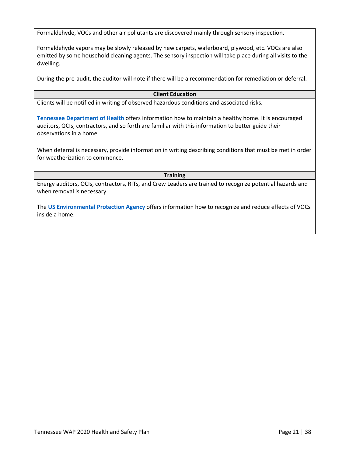Formaldehyde, VOCs and other air pollutants are discovered mainly through sensory inspection.

Formaldehyde vapors may be slowly released by new carpets, waferboard, plywood, etc. VOCs are also emitted by some household cleaning agents. The sensory inspection will take place during all visits to the dwelling.

During the pre-audit, the auditor will note if there will be a recommendation for remediation or deferral.

#### **Client Education**

Clients will be notified in writing of observed hazardous conditions and associated risks.

**[Tennessee Department of Health](https://www.tn.gov/health/cedep/environmental/healthy-homes.html)** offers information how to maintain a healthy home. It is encouraged auditors, QCIs, contractors, and so forth are familiar with this information to better guide their observations in a home.

When deferral is necessary, provide information in writing describing conditions that must be met in order for weatherization to commence.

#### **Training**

Energy auditors, QCIs, contractors, RITs, and Crew Leaders are trained to recognize potential hazards and when removal is necessary.

The **[US Environmental Protection Agency](https://www.epa.gov/indoor-air-quality-iaq/volatile-organic-compounds-impact-indoor-air-quality)** offers information how to recognize and reduce effects of VOCs inside a home.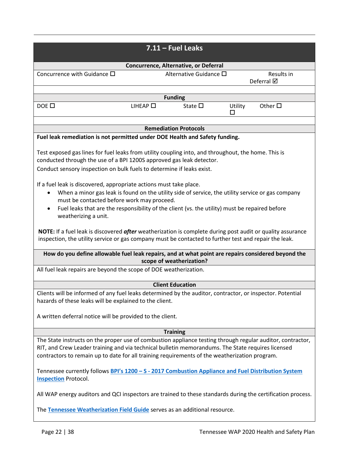|                                                                                                                                                                                                                                                                                                                                                                                                                                                                                                                                                                                                                                                                                                                                                                                                                                                                                                                                                                               |                     | $7.11$ – Fuel Leaks          |              |                          |  |  |  |
|-------------------------------------------------------------------------------------------------------------------------------------------------------------------------------------------------------------------------------------------------------------------------------------------------------------------------------------------------------------------------------------------------------------------------------------------------------------------------------------------------------------------------------------------------------------------------------------------------------------------------------------------------------------------------------------------------------------------------------------------------------------------------------------------------------------------------------------------------------------------------------------------------------------------------------------------------------------------------------|---------------------|------------------------------|--------------|--------------------------|--|--|--|
|                                                                                                                                                                                                                                                                                                                                                                                                                                                                                                                                                                                                                                                                                                                                                                                                                                                                                                                                                                               |                     |                              |              |                          |  |  |  |
| Concurrence, Alternative, or Deferral                                                                                                                                                                                                                                                                                                                                                                                                                                                                                                                                                                                                                                                                                                                                                                                                                                                                                                                                         |                     |                              |              |                          |  |  |  |
| Concurrence with Guidance $\square$                                                                                                                                                                                                                                                                                                                                                                                                                                                                                                                                                                                                                                                                                                                                                                                                                                                                                                                                           |                     | Alternative Guidance □       |              | Results in<br>Deferral Ø |  |  |  |
|                                                                                                                                                                                                                                                                                                                                                                                                                                                                                                                                                                                                                                                                                                                                                                                                                                                                                                                                                                               |                     |                              |              |                          |  |  |  |
|                                                                                                                                                                                                                                                                                                                                                                                                                                                                                                                                                                                                                                                                                                                                                                                                                                                                                                                                                                               |                     | <b>Funding</b>               |              |                          |  |  |  |
| $DOE$ $\square$                                                                                                                                                                                                                                                                                                                                                                                                                                                                                                                                                                                                                                                                                                                                                                                                                                                                                                                                                               | $L$ IHEAP $\square$ | State $\square$              | Utility<br>□ | Other $\square$          |  |  |  |
|                                                                                                                                                                                                                                                                                                                                                                                                                                                                                                                                                                                                                                                                                                                                                                                                                                                                                                                                                                               |                     | <b>Remediation Protocols</b> |              |                          |  |  |  |
| Fuel leak remediation is not permitted under DOE Health and Safety funding.                                                                                                                                                                                                                                                                                                                                                                                                                                                                                                                                                                                                                                                                                                                                                                                                                                                                                                   |                     |                              |              |                          |  |  |  |
| Test exposed gas lines for fuel leaks from utility coupling into, and throughout, the home. This is<br>conducted through the use of a BPI 1200S approved gas leak detector.<br>Conduct sensory inspection on bulk fuels to determine if leaks exist.<br>If a fuel leak is discovered, appropriate actions must take place.<br>When a minor gas leak is found on the utility side of service, the utility service or gas company<br>must be contacted before work may proceed.<br>Fuel leaks that are the responsibility of the client (vs. the utility) must be repaired before<br>$\bullet$<br>weatherizing a unit.<br>NOTE: If a fuel leak is discovered after weatherization is complete during post audit or quality assurance<br>inspection, the utility service or gas company must be contacted to further test and repair the leak.<br>How do you define allowable fuel leak repairs, and at what point are repairs considered beyond the<br>scope of weatherization? |                     |                              |              |                          |  |  |  |
|                                                                                                                                                                                                                                                                                                                                                                                                                                                                                                                                                                                                                                                                                                                                                                                                                                                                                                                                                                               |                     |                              |              |                          |  |  |  |
| <b>Client Education</b><br>Clients will be informed of any fuel leaks determined by the auditor, contractor, or inspector. Potential<br>hazards of these leaks will be explained to the client.<br>A written deferral notice will be provided to the client.                                                                                                                                                                                                                                                                                                                                                                                                                                                                                                                                                                                                                                                                                                                  |                     |                              |              |                          |  |  |  |
|                                                                                                                                                                                                                                                                                                                                                                                                                                                                                                                                                                                                                                                                                                                                                                                                                                                                                                                                                                               |                     |                              |              |                          |  |  |  |
|                                                                                                                                                                                                                                                                                                                                                                                                                                                                                                                                                                                                                                                                                                                                                                                                                                                                                                                                                                               |                     | <b>Training</b>              |              |                          |  |  |  |
| The State instructs on the proper use of combustion appliance testing through regular auditor, contractor,<br>RIT, and Crew Leader training and via technical bulletin memorandums. The State requires licensed<br>contractors to remain up to date for all training requirements of the weatherization program.                                                                                                                                                                                                                                                                                                                                                                                                                                                                                                                                                                                                                                                              |                     |                              |              |                          |  |  |  |
| Tennessee currently follows BPI's 1200 - S - 2017 Combustion Appliance and Fuel Distribution System<br><b>Inspection Protocol.</b>                                                                                                                                                                                                                                                                                                                                                                                                                                                                                                                                                                                                                                                                                                                                                                                                                                            |                     |                              |              |                          |  |  |  |
| All WAP energy auditors and QCI inspectors are trained to these standards during the certification process.<br>The Tennessee Weatherization Field Guide serves as an additional resource.                                                                                                                                                                                                                                                                                                                                                                                                                                                                                                                                                                                                                                                                                                                                                                                     |                     |                              |              |                          |  |  |  |
|                                                                                                                                                                                                                                                                                                                                                                                                                                                                                                                                                                                                                                                                                                                                                                                                                                                                                                                                                                               |                     |                              |              |                          |  |  |  |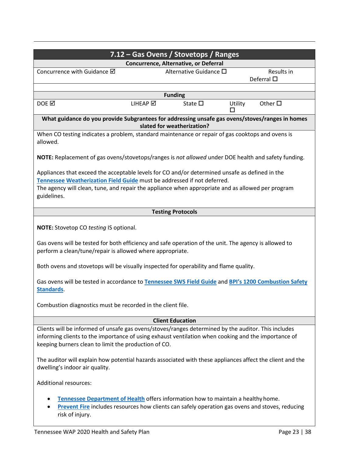<span id="page-23-0"></span>

| 7.12 - Gas Ovens / Stovetops / Ranges                                                                                                                                                                                                                                                                                                                                           |                                  |  |  |  |  |
|---------------------------------------------------------------------------------------------------------------------------------------------------------------------------------------------------------------------------------------------------------------------------------------------------------------------------------------------------------------------------------|----------------------------------|--|--|--|--|
| Concurrence, Alternative, or Deferral                                                                                                                                                                                                                                                                                                                                           |                                  |  |  |  |  |
| Concurrence with Guidance Ø<br>Alternative Guidance □                                                                                                                                                                                                                                                                                                                           | Results in<br>Deferral $\square$ |  |  |  |  |
| <b>Funding</b>                                                                                                                                                                                                                                                                                                                                                                  |                                  |  |  |  |  |
| DOE $\boxtimes$<br>LIHEAP Ø<br>State $\square$                                                                                                                                                                                                                                                                                                                                  | Other $\square$<br>Utility       |  |  |  |  |
| What guidance do you provide Subgrantees for addressing unsafe gas ovens/stoves/ranges in homes<br>slated for weatherization?                                                                                                                                                                                                                                                   |                                  |  |  |  |  |
| When CO testing indicates a problem, standard maintenance or repair of gas cooktops and ovens is<br>allowed.                                                                                                                                                                                                                                                                    |                                  |  |  |  |  |
| NOTE: Replacement of gas ovens/stovetops/ranges is not allowed under DOE health and safety funding.                                                                                                                                                                                                                                                                             |                                  |  |  |  |  |
| Appliances that exceed the acceptable levels for CO and/or determined unsafe as defined in the<br>Tennessee Weatherization Field Guide must be addressed if not deferred.<br>The agency will clean, tune, and repair the appliance when appropriate and as allowed per program<br>guidelines.                                                                                   |                                  |  |  |  |  |
| <b>Testing Protocols</b>                                                                                                                                                                                                                                                                                                                                                        |                                  |  |  |  |  |
| <b>NOTE:</b> Stovetop CO testing IS optional.                                                                                                                                                                                                                                                                                                                                   |                                  |  |  |  |  |
| Gas ovens will be tested for both efficiency and safe operation of the unit. The agency is allowed to<br>perform a clean/tune/repair is allowed where appropriate.                                                                                                                                                                                                              |                                  |  |  |  |  |
| Both ovens and stovetops will be visually inspected for operability and flame quality.                                                                                                                                                                                                                                                                                          |                                  |  |  |  |  |
| Gas ovens will be tested in accordance to Tennessee SWS Field Guide and BPI's 1200 Combustion Safety<br>Standards.                                                                                                                                                                                                                                                              |                                  |  |  |  |  |
| Combustion diagnostics must be recorded in the client file.                                                                                                                                                                                                                                                                                                                     |                                  |  |  |  |  |
| <b>Client Education</b>                                                                                                                                                                                                                                                                                                                                                         |                                  |  |  |  |  |
| Clients will be informed of unsafe gas ovens/stoves/ranges determined by the auditor. This includes<br>informing clients to the importance of using exhaust ventilation when cooking and the importance of<br>keeping burners clean to limit the production of CO.<br>The auditor will explain how potential hazards associated with these appliances affect the client and the |                                  |  |  |  |  |
| dwelling's indoor air quality.<br><b>Additional resources:</b>                                                                                                                                                                                                                                                                                                                  |                                  |  |  |  |  |
| Tennessee Department of Health offers information how to maintain a healthy home.<br>Prevent Fire includes resources how clients can safely operation gas ovens and stoves, reducing<br>risk of injury.                                                                                                                                                                         |                                  |  |  |  |  |
| Tennessee WAP 2020 Health and Safety Plan                                                                                                                                                                                                                                                                                                                                       | Page 23   38                     |  |  |  |  |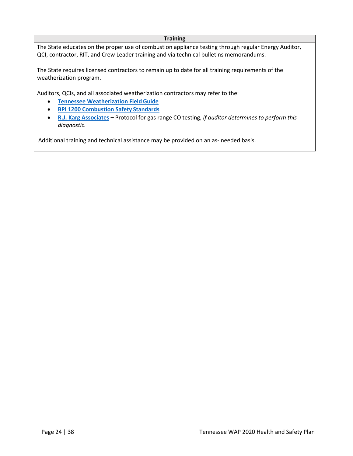#### **Training**

The State educates on the proper use of combustion appliance testing through regular Energy Auditor, QCI, contractor, RIT, and Crew Leader training and via technical bulletins memorandums.

The State requires licensed contractors to remain up to date for all training requirements of the weatherization program.

Auditors, QCIs, and all associated weatherization contractors may refer to the:

- **[Tennessee Weatherization FieldGuide](http://wxfieldguide.com/tn/TNWxFieldGuide_2018_SWS.pdf)**
- **[BPI 1200 Combustion Safety](http://www.bpi.org/sites/default/files/ANSI%20BPI-1200-S-2017%20Standard%20Practice%20for%20Basic%20Analysis%20of%20Buildings.pdf) Standards**
- **[R.J. Karg Associates](http://www.karg.com/pdf/CO_Field_Protocol_annotated.pdf)** Protocol for gas range CO testing, *if auditor determines to perform this diagnostic.*

Additional training and technical assistance may be provided on an as- needed basis.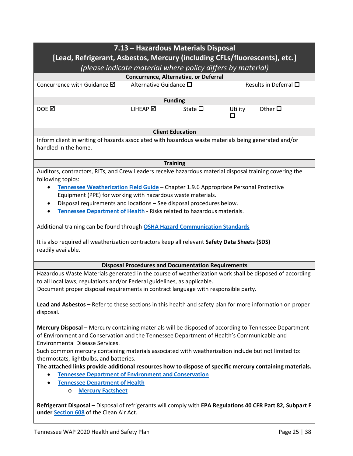| 7.13 - Hazardous Materials Disposal<br>[Lead, Refrigerant, Asbestos, Mercury (including CFLs/fluorescents), etc.]                                                                                                                                                         |                                                                                                           |                                                             |              |                       |  |  |
|---------------------------------------------------------------------------------------------------------------------------------------------------------------------------------------------------------------------------------------------------------------------------|-----------------------------------------------------------------------------------------------------------|-------------------------------------------------------------|--------------|-----------------------|--|--|
|                                                                                                                                                                                                                                                                           |                                                                                                           | (please indicate material where policy differs by material) |              |                       |  |  |
|                                                                                                                                                                                                                                                                           |                                                                                                           | Concurrence, Alternative, or Deferral                       |              |                       |  |  |
| Concurrence with Guidance Ø                                                                                                                                                                                                                                               | Alternative Guidance □                                                                                    |                                                             |              | Results in Deferral □ |  |  |
|                                                                                                                                                                                                                                                                           |                                                                                                           |                                                             |              |                       |  |  |
|                                                                                                                                                                                                                                                                           |                                                                                                           | <b>Funding</b>                                              |              |                       |  |  |
| DOE <b></b>                                                                                                                                                                                                                                                               | LIHEAP Ø                                                                                                  | State $\square$                                             | Utility<br>П | Other $\Box$          |  |  |
|                                                                                                                                                                                                                                                                           |                                                                                                           | <b>Client Education</b>                                     |              |                       |  |  |
| Inform client in writing of hazards associated with hazardous waste materials being generated and/or<br>handled in the home.                                                                                                                                              |                                                                                                           |                                                             |              |                       |  |  |
|                                                                                                                                                                                                                                                                           |                                                                                                           | <b>Training</b>                                             |              |                       |  |  |
| Auditors, contractors, RITs, and Crew Leaders receive hazardous material disposal training covering the<br>following topics:<br>Tennessee Weatherization Field Guide - Chapter 1.9.6 Appropriate Personal Protective                                                      |                                                                                                           |                                                             |              |                       |  |  |
| Equipment (PPE) for working with hazardous waste materials.                                                                                                                                                                                                               |                                                                                                           |                                                             |              |                       |  |  |
| Disposal requirements and locations - See disposal procedures below.                                                                                                                                                                                                      |                                                                                                           |                                                             |              |                       |  |  |
| Tennessee Department of Health - Risks related to hazardous materials.                                                                                                                                                                                                    |                                                                                                           |                                                             |              |                       |  |  |
| Additional training can be found through OSHA Hazard Communication Standards                                                                                                                                                                                              |                                                                                                           |                                                             |              |                       |  |  |
| It is also required all weatherization contractors keep all relevant Safety Data Sheets (SDS)<br>readily available.                                                                                                                                                       |                                                                                                           |                                                             |              |                       |  |  |
|                                                                                                                                                                                                                                                                           |                                                                                                           | <b>Disposal Procedures and Documentation Requirements</b>   |              |                       |  |  |
| Hazardous Waste Materials generated in the course of weatherization work shall be disposed of according<br>to all local laws, regulations and/or Federal guidelines, as applicable.<br>Document proper disposal requirements in contract language with responsible party. |                                                                                                           |                                                             |              |                       |  |  |
| disposal.                                                                                                                                                                                                                                                                 | Lead and Asbestos – Refer to these sections in this health and safety plan for more information on proper |                                                             |              |                       |  |  |
| Mercury Disposal - Mercury containing materials will be disposed of according to Tennessee Department<br>of Environment and Conservation and the Tennessee Department of Health's Communicable and<br><b>Environmental Disease Services.</b>                              |                                                                                                           |                                                             |              |                       |  |  |
| Such common mercury containing materials associated with weatherization include but not limited to:                                                                                                                                                                       |                                                                                                           |                                                             |              |                       |  |  |
| thermostats, lightbulbs, and batteries.<br>The attached links provide additional resources how to dispose of specific mercury containing materials.<br><b>Tennessee Department of Environment and Conservation</b><br>٠<br><b>Tennessee Department of Health</b><br>٠     |                                                                                                           |                                                             |              |                       |  |  |
| <b>Mercury Factsheet</b><br>$\circ$                                                                                                                                                                                                                                       |                                                                                                           |                                                             |              |                       |  |  |
| Refrigerant Disposal - Disposal of refrigerants will comply with EPA Regulations 40 CFR Part 82, Subpart F<br>under Section 608 of the Clean Air Act.                                                                                                                     |                                                                                                           |                                                             |              |                       |  |  |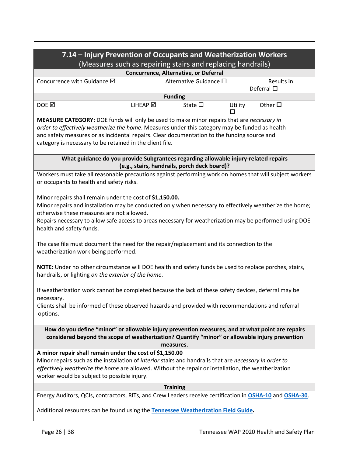| 7.14 - Injury Prevention of Occupants and Weatherization Workers                                                                                                                                                                                                                                                                                        |                                              |         |                                  |  |  |
|---------------------------------------------------------------------------------------------------------------------------------------------------------------------------------------------------------------------------------------------------------------------------------------------------------------------------------------------------------|----------------------------------------------|---------|----------------------------------|--|--|
| (Measures such as repairing stairs and replacing handrails)                                                                                                                                                                                                                                                                                             |                                              |         |                                  |  |  |
| Concurrence, Alternative, or Deferral                                                                                                                                                                                                                                                                                                                   |                                              |         |                                  |  |  |
| Concurrence with Guidance Ø                                                                                                                                                                                                                                                                                                                             | Alternative Guidance □                       |         | Results in<br>Deferral $\square$ |  |  |
|                                                                                                                                                                                                                                                                                                                                                         | <b>Funding</b>                               |         |                                  |  |  |
| DOE <b>⊠</b><br>LIHEAP Ø                                                                                                                                                                                                                                                                                                                                | State $\square$                              | Utility | Other $\square$                  |  |  |
| MEASURE CATEGORY: DOE funds will only be used to make minor repairs that are necessary in<br>order to effectively weatherize the home. Measures under this category may be funded as health<br>and safety measures or as incidental repairs. Clear documentation to the funding source and<br>category is necessary to be retained in the client file.  |                                              |         |                                  |  |  |
| What guidance do you provide Subgrantees regarding allowable injury-related repairs                                                                                                                                                                                                                                                                     | (e.g., stairs, handrails, porch deck board)? |         |                                  |  |  |
| Workers must take all reasonable precautions against performing work on homes that will subject workers<br>or occupants to health and safety risks.                                                                                                                                                                                                     |                                              |         |                                  |  |  |
| Minor repairs shall remain under the cost of \$1,150.00.<br>Minor repairs and installation may be conducted only when necessary to effectively weatherize the home;<br>otherwise these measures are not allowed.<br>Repairs necessary to allow safe access to areas necessary for weatherization may be performed using DOE<br>health and safety funds. |                                              |         |                                  |  |  |
| The case file must document the need for the repair/replacement and its connection to the<br>weatherization work being performed.                                                                                                                                                                                                                       |                                              |         |                                  |  |  |
| NOTE: Under no other circumstance will DOE health and safety funds be used to replace porches, stairs,<br>handrails, or lighting on the exterior of the home.                                                                                                                                                                                           |                                              |         |                                  |  |  |
| If weatherization work cannot be completed because the lack of these safety devices, deferral may be<br>necessary.                                                                                                                                                                                                                                      |                                              |         |                                  |  |  |
| Clients shall be informed of these observed hazards and provided with recommendations and referral<br>options.                                                                                                                                                                                                                                          |                                              |         |                                  |  |  |
| How do you define "minor" or allowable injury prevention measures, and at what point are repairs<br>considered beyond the scope of weatherization? Quantify "minor" or allowable injury prevention<br>measures.                                                                                                                                         |                                              |         |                                  |  |  |
| A minor repair shall remain under the cost of \$1,150.00<br>Minor repairs such as the installation of interior stairs and handrails that are necessary in order to<br>effectively weatherize the home are allowed. Without the repair or installation, the weatherization<br>worker would be subject to possible injury.                                |                                              |         |                                  |  |  |
| <b>Training</b>                                                                                                                                                                                                                                                                                                                                         |                                              |         |                                  |  |  |
| Energy Auditors, QCIs, contractors, RITs, and Crew Leaders receive certification in OSHA-10 and OSHA-30.<br>Additional resources can be found using the Tennessee Weatherization Field Guide.                                                                                                                                                           |                                              |         |                                  |  |  |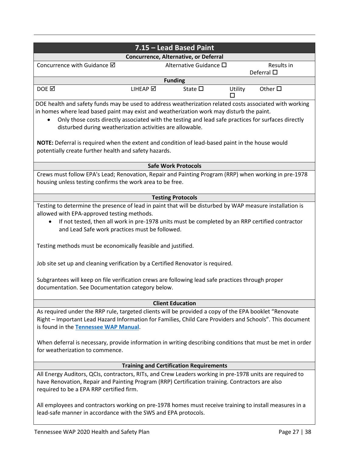|                                                                                                                                                                                                                                                                                                                                                                                                                                                                                                                                                                                                                         |                                                                                                                                                                  | 7.15 - Lead Based Paint                        |         |                                  |
|-------------------------------------------------------------------------------------------------------------------------------------------------------------------------------------------------------------------------------------------------------------------------------------------------------------------------------------------------------------------------------------------------------------------------------------------------------------------------------------------------------------------------------------------------------------------------------------------------------------------------|------------------------------------------------------------------------------------------------------------------------------------------------------------------|------------------------------------------------|---------|----------------------------------|
|                                                                                                                                                                                                                                                                                                                                                                                                                                                                                                                                                                                                                         |                                                                                                                                                                  | Concurrence, Alternative, or Deferral          |         |                                  |
| Concurrence with Guidance Ø                                                                                                                                                                                                                                                                                                                                                                                                                                                                                                                                                                                             |                                                                                                                                                                  | Alternative Guidance □                         |         | Results in<br>Deferral $\square$ |
|                                                                                                                                                                                                                                                                                                                                                                                                                                                                                                                                                                                                                         |                                                                                                                                                                  | <b>Funding</b>                                 |         |                                  |
| DOE <b></b>                                                                                                                                                                                                                                                                                                                                                                                                                                                                                                                                                                                                             | LIHEAP Ø                                                                                                                                                         | State $\square$                                | Utility | Other $\Box$                     |
|                                                                                                                                                                                                                                                                                                                                                                                                                                                                                                                                                                                                                         |                                                                                                                                                                  |                                                | п       |                                  |
| DOE health and safety funds may be used to address weatherization related costs associated with working<br>in homes where lead based paint may exist and weatherization work may disturb the paint.<br>$\bullet$                                                                                                                                                                                                                                                                                                                                                                                                        | Only those costs directly associated with the testing and lead safe practices for surfaces directly<br>disturbed during weatherization activities are allowable. |                                                |         |                                  |
| NOTE: Deferral is required when the extent and condition of lead-based paint in the house would<br>potentially create further health and safety hazards.                                                                                                                                                                                                                                                                                                                                                                                                                                                                |                                                                                                                                                                  |                                                |         |                                  |
|                                                                                                                                                                                                                                                                                                                                                                                                                                                                                                                                                                                                                         |                                                                                                                                                                  | <b>Safe Work Protocols</b>                     |         |                                  |
| Crews must follow EPA's Lead; Renovation, Repair and Painting Program (RRP) when working in pre-1978<br>housing unless testing confirms the work area to be free.                                                                                                                                                                                                                                                                                                                                                                                                                                                       |                                                                                                                                                                  |                                                |         |                                  |
|                                                                                                                                                                                                                                                                                                                                                                                                                                                                                                                                                                                                                         |                                                                                                                                                                  | <b>Testing Protocols</b>                       |         |                                  |
| Testing to determine the presence of lead in paint that will be disturbed by WAP measure installation is<br>allowed with EPA-approved testing methods.<br>If not tested, then all work in pre-1978 units must be completed by an RRP certified contractor<br>and Lead Safe work practices must be followed.<br>Testing methods must be economically feasible and justified.<br>Job site set up and cleaning verification by a Certified Renovator is required.<br>Subgrantees will keep on file verification crews are following lead safe practices through proper<br>documentation. See Documentation category below. |                                                                                                                                                                  |                                                |         |                                  |
|                                                                                                                                                                                                                                                                                                                                                                                                                                                                                                                                                                                                                         |                                                                                                                                                                  | <b>Client Education</b>                        |         |                                  |
| As required under the RRP rule, targeted clients will be provided a copy of the EPA booklet "Renovate<br>Right - Important Lead Hazard Information for Families, Child Care Providers and Schools". This document<br>is found in the Tennessee WAP Manual.                                                                                                                                                                                                                                                                                                                                                              |                                                                                                                                                                  |                                                |         |                                  |
| When deferral is necessary, provide information in writing describing conditions that must be met in order<br>for weatherization to commence.                                                                                                                                                                                                                                                                                                                                                                                                                                                                           |                                                                                                                                                                  |                                                |         |                                  |
|                                                                                                                                                                                                                                                                                                                                                                                                                                                                                                                                                                                                                         |                                                                                                                                                                  | <b>Training and Certification Requirements</b> |         |                                  |
| All Energy Auditors, QCIs, contractors, RITs, and Crew Leaders working in pre-1978 units are required to<br>have Renovation, Repair and Painting Program (RRP) Certification training. Contractors are also<br>required to be a EPA RRP certified firm.                                                                                                                                                                                                                                                                                                                                                                 |                                                                                                                                                                  |                                                |         |                                  |
| All employees and contractors working on pre-1978 homes must receive training to install measures in a<br>lead-safe manner in accordance with the SWS and EPA protocols.                                                                                                                                                                                                                                                                                                                                                                                                                                                |                                                                                                                                                                  |                                                |         |                                  |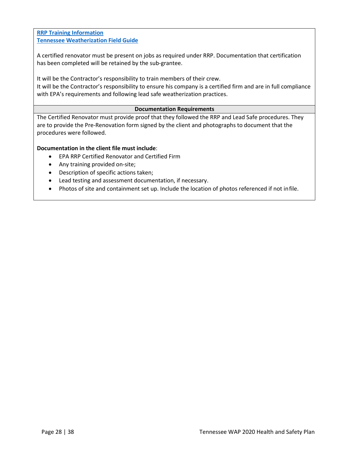**[RRP Training Information](https://www.epa.gov/lead/renovation-repair-and-painting-program-training-providers) [Tennessee Weatherization Field Guide](http://wxfieldguide.com/tn/TNWxFieldGuide_2018_SWS.pdf)**

A certified renovator must be present on jobs as required under RRP. Documentation that certification has been completed will be retained by the sub-grantee.

It will be the Contractor's responsibility to train members of their crew.

It will be the Contractor's responsibility to ensure his company is a certified firm and are in full compliance with EPA's requirements and following lead safe weatherization practices.

#### **Documentation Requirements**

The Certified Renovator must provide proof that they followed the RRP and Lead Safe procedures. They are to provide the Pre-Renovation form signed by the client and photographs to document that the procedures were followed.

#### **Documentation in the client file must include**:

- EPA RRP Certified Renovator and Certified Firm
- Any training provided on-site;
- Description of specific actions taken;
- Lead testing and assessment documentation, if necessary.
- Photos of site and containment set up. Include the location of photos referenced if not infile.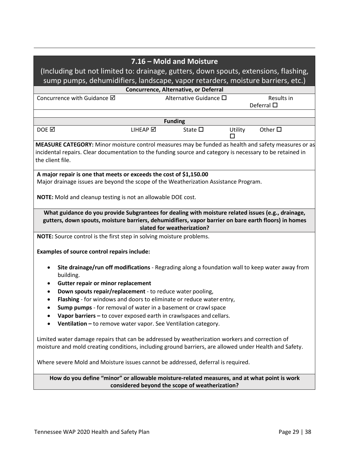|                                                                                                                                                                                                                                      |          | 7.16 - Mold and Moisture                                        |         |                    |  |
|--------------------------------------------------------------------------------------------------------------------------------------------------------------------------------------------------------------------------------------|----------|-----------------------------------------------------------------|---------|--------------------|--|
| (Including but not limited to: drainage, gutters, down spouts, extensions, flashing,                                                                                                                                                 |          |                                                                 |         |                    |  |
| sump pumps, dehumidifiers, landscape, vapor retarders, moisture barriers, etc.)                                                                                                                                                      |          |                                                                 |         |                    |  |
| Concurrence with Guidance Ø                                                                                                                                                                                                          |          | Concurrence, Alternative, or Deferral<br>Alternative Guidance □ |         | Results in         |  |
|                                                                                                                                                                                                                                      |          |                                                                 |         | Deferral $\square$ |  |
|                                                                                                                                                                                                                                      |          | <b>Funding</b>                                                  |         |                    |  |
| DOE <b>M</b>                                                                                                                                                                                                                         | LIHEAP Ø | State $\square$                                                 | Utility | Other $\square$    |  |
| MEASURE CATEGORY: Minor moisture control measures may be funded as health and safety measures or as<br>incidental repairs. Clear documentation to the funding source and category is necessary to be retained in<br>the client file. |          |                                                                 |         |                    |  |
| A major repair is one that meets or exceeds the cost of \$1,150.00<br>Major drainage issues are beyond the scope of the Weatherization Assistance Program.<br><b>NOTE:</b> Mold cleanup and testing is not an allowable DOE cost.    |          |                                                                 |         |                    |  |
| What guidance do you provide Subgrantees for dealing with moisture related issues (e.g., drainage,<br>gutters, down spouts, moisture barriers, dehumidifiers, vapor barrier on bare earth floors) in homes                           |          | slated for weatherization?                                      |         |                    |  |
| NOTE: Source control is the first step in solving moisture problems.                                                                                                                                                                 |          |                                                                 |         |                    |  |
| <b>Examples of source control repairs include:</b>                                                                                                                                                                                   |          |                                                                 |         |                    |  |
| Site drainage/run off modifications - Regrading along a foundation wall to keep water away from<br>building.                                                                                                                         |          |                                                                 |         |                    |  |
| <b>Gutter repair or minor replacement</b><br>٠                                                                                                                                                                                       |          |                                                                 |         |                    |  |
| Down spouts repair/replacement - to reduce water pooling,                                                                                                                                                                            |          |                                                                 |         |                    |  |
| Flashing - for windows and doors to eliminate or reduce water entry,                                                                                                                                                                 |          |                                                                 |         |                    |  |
| Sump pumps - for removal of water in a basement or crawl space<br>$\bullet$                                                                                                                                                          |          |                                                                 |         |                    |  |
| Vapor barriers - to cover exposed earth in crawlspaces and cellars.                                                                                                                                                                  |          |                                                                 |         |                    |  |
| Ventilation - to remove water vapor. See Ventilation category.                                                                                                                                                                       |          |                                                                 |         |                    |  |
| Limited water damage repairs that can be addressed by weatherization workers and correction of<br>moisture and mold creating conditions, including ground barriers, are allowed under Health and Safety.                             |          |                                                                 |         |                    |  |
| Where severe Mold and Moisture issues cannot be addressed, deferral is required.                                                                                                                                                     |          |                                                                 |         |                    |  |
| How do you define "minor" or allowable moisture-related measures, and at what point is work<br>considered beyond the scope of weatherization?                                                                                        |          |                                                                 |         |                    |  |
|                                                                                                                                                                                                                                      |          |                                                                 |         |                    |  |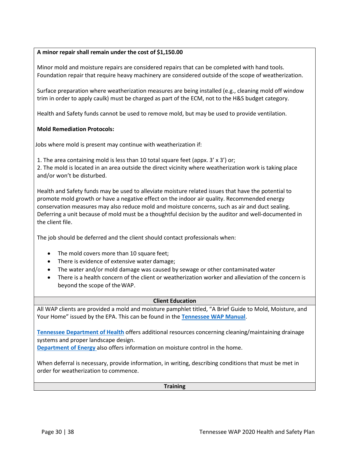#### **A minor repair shall remain under the cost of \$1,150.00**

Minor mold and moisture repairs are considered repairs that can be completed with hand tools. Foundation repair that require heavy machinery are considered outside of the scope of weatherization.

Surface preparation where weatherization measures are being installed (e.g., cleaning mold off window trim in order to apply caulk) must be charged as part of the ECM, not to the H&S budget category.

Health and Safety funds cannot be used to remove mold, but may be used to provide ventilation.

#### **Mold Remediation Protocols:**

Jobs where mold is present may continue with weatherization if:

1. The area containing mold is less than 10 total square feet (appx. 3' x 3') or;

2. The mold is located in an area outside the direct vicinity where weatherization work is taking place and/or won't be disturbed.

Health and Safety funds may be used to alleviate moisture related issues that have the potential to promote mold growth or have a negative effect on the indoor air quality. Recommended energy conservation measures may also reduce mold and moisture concerns, such as air and duct sealing. Deferring a unit because of mold must be a thoughtful decision by the auditor and well-documented in the client file.

The job should be deferred and the client should contact professionals when:

- The mold covers more than 10 square feet;
- There is evidence of extensive water damage;
- The water and/or mold damage was caused by sewage or other contaminated water
- There is a health concern of the client or weatherization worker and alleviation of the concern is beyond the scope of theWAP.

#### **Client Education**

All WAP clients are provided a mold and moisture pamphlet titled, "A Brief Guide to Mold, Moisture, and Your Home" issued by the EPA. This can be found in the **[Tennessee WAP Manual](https://s3.amazonaws.com/thda.org/Documents/Business-Partners/Grant-Administrators/Weatherization/Tennessee-WAP-Manual.pdf)**.

**[Tennessee Department of Health](https://www.tn.gov/health/health-program-areas/healthy-homes/hh/mold.html)** offers additional resources concerning cleaning/maintaining drainage systems and proper landscape design.

**[Department of Energy](https://www.energy.gov/energysaver/weatherize/moisture-control)** also offers information on moisture control in the home.

When deferral is necessary, provide information, in writing, describing conditions that must be met in order for weatherization to commence.

#### **Training**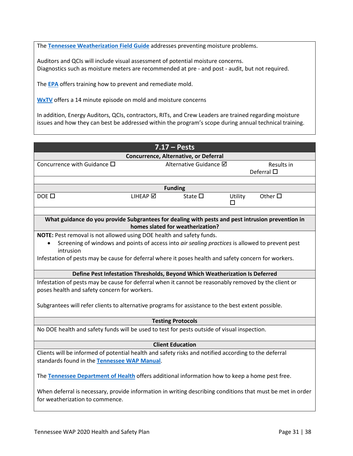The **[Tennessee Weatherization Field Guide](http://wxfieldguide.com/tn/TNWxFieldGuide_2018_SWS.pdf)** addresses preventing moisture problems.

Auditors and QCIs will include visual assessment of potential moisture concerns. Diagnostics such as moisture meters are recommended at pre - and post - audit, but not required.

The **[EPA](https://www.epa.gov/mold/how-use-mold-course)** offers training how to prevent and remediate mold.

**[WxTV](http://wxtvonline.org/2011/01/mold/)** offers a 14 minute episode on mold and moisture concerns

In addition, Energy Auditors, QCIs, contractors, RITs, and Crew Leaders are trained regarding moisture issues and how they can best be addressed within the program's scope during annual technical training.

| $7.17 - Pests$                                                                                                                                |                 |                                       |              |                                  |  |
|-----------------------------------------------------------------------------------------------------------------------------------------------|-----------------|---------------------------------------|--------------|----------------------------------|--|
|                                                                                                                                               |                 | Concurrence, Alternative, or Deferral |              |                                  |  |
| Concurrence with Guidance $\square$                                                                                                           |                 | Alternative Guidance Ø                |              | Results in<br>Deferral $\square$ |  |
|                                                                                                                                               |                 |                                       |              |                                  |  |
|                                                                                                                                               |                 | <b>Funding</b>                        |              |                                  |  |
| $DOF$ $\square$                                                                                                                               | <b>LIHEAP</b> ⊠ | State $\square$                       | Utility<br>п | Other $\Box$                     |  |
|                                                                                                                                               |                 |                                       |              |                                  |  |
| What guidance do you provide Subgrantees for dealing with pests and pest intrusion prevention in                                              |                 | homes slated for weatherization?      |              |                                  |  |
| NOTE: Pest removal is not allowed using DOE health and safety funds.                                                                          |                 |                                       |              |                                  |  |
| Screening of windows and points of access into air sealing practices is allowed to prevent pest                                               |                 |                                       |              |                                  |  |
| intrusion                                                                                                                                     |                 |                                       |              |                                  |  |
| Infestation of pests may be cause for deferral where it poses health and safety concern for workers.                                          |                 |                                       |              |                                  |  |
| Define Pest Infestation Thresholds, Beyond Which Weatherization Is Deferred                                                                   |                 |                                       |              |                                  |  |
| Infestation of pests may be cause for deferral when it cannot be reasonably removed by the client or                                          |                 |                                       |              |                                  |  |
| poses health and safety concern for workers.                                                                                                  |                 |                                       |              |                                  |  |
| Subgrantees will refer clients to alternative programs for assistance to the best extent possible.                                            |                 |                                       |              |                                  |  |
| <b>Testing Protocols</b>                                                                                                                      |                 |                                       |              |                                  |  |
| No DOE health and safety funds will be used to test for pests outside of visual inspection.                                                   |                 |                                       |              |                                  |  |
|                                                                                                                                               |                 |                                       |              |                                  |  |
|                                                                                                                                               |                 | <b>Client Education</b>               |              |                                  |  |
| Clients will be informed of potential health and safety risks and notified according to the deferral                                          |                 |                                       |              |                                  |  |
| standards found in the Tennessee WAP Manual.                                                                                                  |                 |                                       |              |                                  |  |
| The Tennessee Department of Health offers additional information how to keep a home pest free.                                                |                 |                                       |              |                                  |  |
| When deferral is necessary, provide information in writing describing conditions that must be met in order<br>for weatherization to commence. |                 |                                       |              |                                  |  |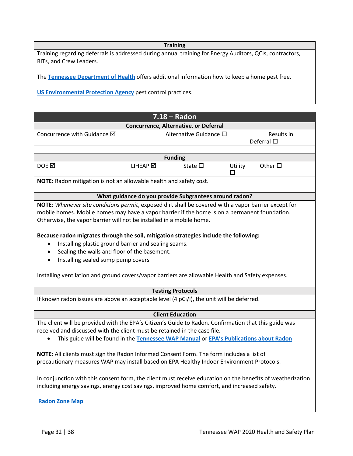#### **Training**

Training regarding deferrals is addressed during annual training for Energy Auditors, QCIs, contractors, RITs, and Crew Leaders.

The **[Tennessee Department of Health](https://www.tn.gov/health/cedep/environmental/healthy-homes.html)** offers additional information how to keep a home pest free.

**[US Environmental Protection Agency](https://www.epa.gov/safepestcontrol/got-pests-control-them-safely)** pest control practices.

|                                                                                                                                                                                                                                                                                                                                                                                 | $7.18 - Radon$                                         |              |                                  |  |  |
|---------------------------------------------------------------------------------------------------------------------------------------------------------------------------------------------------------------------------------------------------------------------------------------------------------------------------------------------------------------------------------|--------------------------------------------------------|--------------|----------------------------------|--|--|
|                                                                                                                                                                                                                                                                                                                                                                                 | Concurrence, Alternative, or Deferral                  |              |                                  |  |  |
| Concurrence with Guidance $\boxtimes$                                                                                                                                                                                                                                                                                                                                           | Alternative Guidance □                                 |              | Results in<br>Deferral $\square$ |  |  |
|                                                                                                                                                                                                                                                                                                                                                                                 |                                                        |              |                                  |  |  |
|                                                                                                                                                                                                                                                                                                                                                                                 | <b>Funding</b>                                         |              |                                  |  |  |
| DOE $\boxtimes$<br>LIHEAP ☑                                                                                                                                                                                                                                                                                                                                                     | State $\square$                                        | Utility<br>□ | Other $\square$                  |  |  |
| NOTE: Radon mitigation is not an allowable health and safety cost.                                                                                                                                                                                                                                                                                                              |                                                        |              |                                  |  |  |
|                                                                                                                                                                                                                                                                                                                                                                                 | What guidance do you provide Subgrantees around radon? |              |                                  |  |  |
| NOTE: Whenever site conditions permit, exposed dirt shall be covered with a vapor barrier except for<br>mobile homes. Mobile homes may have a vapor barrier if the home is on a permanent foundation.<br>Otherwise, the vapor barrier will not be installed in a mobile home.                                                                                                   |                                                        |              |                                  |  |  |
| Because radon migrates through the soil, mitigation strategies include the following:<br>Installing plastic ground barrier and sealing seams.<br>$\bullet$<br>Sealing the walls and floor of the basement.<br>$\bullet$<br>Installing sealed sump pump covers<br>$\bullet$<br>Installing ventilation and ground covers/vapor barriers are allowable Health and Safety expenses. |                                                        |              |                                  |  |  |
| <b>Testing Protocols</b>                                                                                                                                                                                                                                                                                                                                                        |                                                        |              |                                  |  |  |
| If known radon issues are above an acceptable level (4 pCi/l), the unit will be deferred.                                                                                                                                                                                                                                                                                       |                                                        |              |                                  |  |  |
|                                                                                                                                                                                                                                                                                                                                                                                 | <b>Client Education</b>                                |              |                                  |  |  |
| The client will be provided with the EPA's Citizen's Guide to Radon. Confirmation that this guide was<br>received and discussed with the client must be retained in the case file.<br>This guide will be found in the Tennessee WAP Manual or EPA's Publications about Radon                                                                                                    |                                                        |              |                                  |  |  |
| NOTE: All clients must sign the Radon Informed Consent Form. The form includes a list of<br>precautionary measures WAP may install based on EPA Healthy Indoor Environment Protocols.                                                                                                                                                                                           |                                                        |              |                                  |  |  |
| In conjunction with this consent form, the client must receive education on the benefits of weatherization<br>including energy savings, energy cost savings, improved home comfort, and increased safety.                                                                                                                                                                       |                                                        |              |                                  |  |  |
| <b>Radon Zone Map</b>                                                                                                                                                                                                                                                                                                                                                           |                                                        |              |                                  |  |  |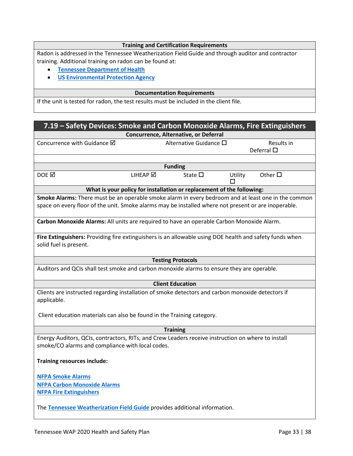#### **Training and Certification Requirements**

Radon is addressed in the Tennessee Weatherization Field Guide and through auditor and contractor training. Additional training on radon can be found at:

- **[Tennessee Department of](https://www.tn.gov/health/cedep/environmental/epht/radon.html) Health**
- **[US Environmental Protection](https://www.epa.gov/radon) Agency**

#### **Documentation Requirements**

If the unit is tested for radon, the test results must be included in the client file.

| 7.19 - Safety Devices: Smoke and Carbon Monoxide Alarms, Fire Extinguishers                                                                                                                                 |          |                                                                       |              |                                  |  |
|-------------------------------------------------------------------------------------------------------------------------------------------------------------------------------------------------------------|----------|-----------------------------------------------------------------------|--------------|----------------------------------|--|
|                                                                                                                                                                                                             |          | Concurrence, Alternative, or Deferral                                 |              |                                  |  |
| Concurrence with Guidance Ø                                                                                                                                                                                 |          | Alternative Guidance □                                                |              | Results in<br>Deferral $\square$ |  |
|                                                                                                                                                                                                             |          |                                                                       |              |                                  |  |
|                                                                                                                                                                                                             |          | <b>Funding</b>                                                        |              |                                  |  |
| DOE $\boxtimes$                                                                                                                                                                                             | LIHEAP ☑ | State $\square$                                                       | Utility<br>П | Other $\square$                  |  |
|                                                                                                                                                                                                             |          | What is your policy for installation or replacement of the following: |              |                                  |  |
| Smoke Alarms: There must be an operable smoke alarm in every bedroom and at least one in the common<br>space on every floor of the unit. Smoke alarms may be installed where not present or are inoperable. |          |                                                                       |              |                                  |  |
| Carbon Monoxide Alarms: All units are required to have an operable Carbon Monoxide Alarm.                                                                                                                   |          |                                                                       |              |                                  |  |
| Fire Extinguishers: Providing fire extinguishers is an allowable using DOE health and safety funds when<br>solid fuel is present.                                                                           |          |                                                                       |              |                                  |  |
|                                                                                                                                                                                                             |          | <b>Testing Protocols</b>                                              |              |                                  |  |
| Auditors and QCIs shall test smoke and carbon monoxide alarms to ensure they are operable.                                                                                                                  |          |                                                                       |              |                                  |  |
|                                                                                                                                                                                                             |          | <b>Client Education</b>                                               |              |                                  |  |
| Clients are instructed regarding installation of smoke detectors and carbon monoxide detectors if<br>applicable.                                                                                            |          |                                                                       |              |                                  |  |
| Client education materials can also be found in the Training category.                                                                                                                                      |          |                                                                       |              |                                  |  |
|                                                                                                                                                                                                             |          | <b>Training</b>                                                       |              |                                  |  |
| Energy Auditors, QCIs, contractors, RITs, and Crew Leaders receive instruction on where to install<br>smoke/CO alarms and compliance with local codes.                                                      |          |                                                                       |              |                                  |  |
| <b>Training resources include:</b>                                                                                                                                                                          |          |                                                                       |              |                                  |  |
| <b>NFPA Smoke Alarms</b>                                                                                                                                                                                    |          |                                                                       |              |                                  |  |
| <b>NFPA Carbon Monoxide Alarms</b>                                                                                                                                                                          |          |                                                                       |              |                                  |  |
| <b>NFPA Fire Extinguishers</b>                                                                                                                                                                              |          |                                                                       |              |                                  |  |
| The Tennessee Weatherization Field Guide provides additional information.                                                                                                                                   |          |                                                                       |              |                                  |  |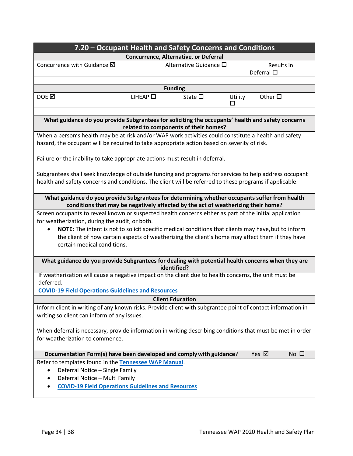| 7.20 – Occupant Health and Safety Concerns and Conditions                                                                                                                                                                                                                                                                                                                                           |                                                                 |                                  |                |
|-----------------------------------------------------------------------------------------------------------------------------------------------------------------------------------------------------------------------------------------------------------------------------------------------------------------------------------------------------------------------------------------------------|-----------------------------------------------------------------|----------------------------------|----------------|
| Concurrence with Guidance Ø                                                                                                                                                                                                                                                                                                                                                                         | Concurrence, Alternative, or Deferral<br>Alternative Guidance □ | Results in<br>Deferral $\square$ |                |
|                                                                                                                                                                                                                                                                                                                                                                                                     | <b>Funding</b>                                                  |                                  |                |
| DOE <b></b><br>$L$ IHEAP $\square$                                                                                                                                                                                                                                                                                                                                                                  | State $\square$                                                 | Other $\square$<br>Utility<br>П  |                |
| What guidance do you provide Subgrantees for soliciting the occupants' health and safety concerns                                                                                                                                                                                                                                                                                                   | related to components of their homes?                           |                                  |                |
| When a person's health may be at risk and/or WAP work activities could constitute a health and safety<br>hazard, the occupant will be required to take appropriate action based on severity of risk.<br>Failure or the inability to take appropriate actions must result in deferral.                                                                                                               |                                                                 |                                  |                |
| Subgrantees shall seek knowledge of outside funding and programs for services to help address occupant<br>health and safety concerns and conditions. The client will be referred to these programs if applicable.                                                                                                                                                                                   |                                                                 |                                  |                |
| What guidance do you provide Subgrantees for determining whether occupants suffer from health<br>conditions that may be negatively affected by the act of weatherizing their home?                                                                                                                                                                                                                  |                                                                 |                                  |                |
| Screen occupants to reveal known or suspected health concerns either as part of the initial application<br>for weatherization, during the audit, or both.<br>NOTE: The intent is not to solicit specific medical conditions that clients may have, but to inform<br>the client of how certain aspects of weatherizing the client's home may affect them if they have<br>certain medical conditions. |                                                                 |                                  |                |
| What guidance do you provide Subgrantees for dealing with potential health concerns when they are                                                                                                                                                                                                                                                                                                   | identified?                                                     |                                  |                |
| If weatherization will cause a negative impact on the client due to health concerns, the unit must be<br>deferred.<br><b>COVID-19 Field Operations Guidelines and Resources</b>                                                                                                                                                                                                                     |                                                                 |                                  |                |
|                                                                                                                                                                                                                                                                                                                                                                                                     | <b>Client Education</b>                                         |                                  |                |
| Inform client in writing of any known risks. Provide client with subgrantee point of contact information in<br>writing so client can inform of any issues.                                                                                                                                                                                                                                          |                                                                 |                                  |                |
| When deferral is necessary, provide information in writing describing conditions that must be met in order<br>for weatherization to commence.                                                                                                                                                                                                                                                       |                                                                 |                                  |                |
| Documentation Form(s) have been developed and comply with guidance?                                                                                                                                                                                                                                                                                                                                 |                                                                 | Yes ⊠                            | $No$ $\square$ |
| Refer to templates found in the Tennessee WAP Manual.<br>Deferral Notice - Single Family<br>$\bullet$<br>Deferral Notice - Multi Family<br><b>COVID-19 Field Operations Guidelines and Resources</b>                                                                                                                                                                                                |                                                                 |                                  |                |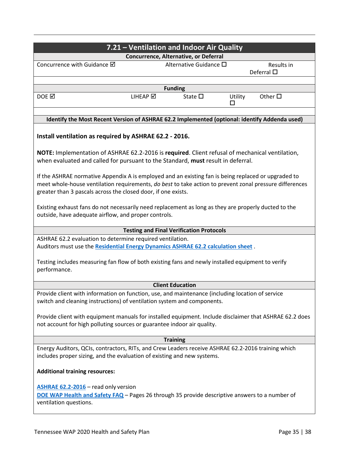|                                                                                                                                                                                                                                                                                 |          | 7.21 - Ventilation and Indoor Air Quality       |              |                          |  |
|---------------------------------------------------------------------------------------------------------------------------------------------------------------------------------------------------------------------------------------------------------------------------------|----------|-------------------------------------------------|--------------|--------------------------|--|
|                                                                                                                                                                                                                                                                                 |          | Concurrence, Alternative, or Deferral           |              |                          |  |
| Concurrence with Guidance Ø                                                                                                                                                                                                                                                     |          | Alternative Guidance □                          |              | Results in<br>Deferral □ |  |
|                                                                                                                                                                                                                                                                                 |          | <b>Funding</b>                                  |              |                          |  |
| DOE <b>⊠</b>                                                                                                                                                                                                                                                                    | LIHEAP Ø | State $\square$                                 | Utility<br>□ | Other $\square$          |  |
| Identify the Most Recent Version of ASHRAE 62.2 Implemented (optional: identify Addenda used)                                                                                                                                                                                   |          |                                                 |              |                          |  |
| Install ventilation as required by ASHRAE 62.2 - 2016.                                                                                                                                                                                                                          |          |                                                 |              |                          |  |
| NOTE: Implementation of ASHRAE 62.2-2016 is required. Client refusal of mechanical ventilation,<br>when evaluated and called for pursuant to the Standard, must result in deferral.                                                                                             |          |                                                 |              |                          |  |
| If the ASHRAE normative Appendix A is employed and an existing fan is being replaced or upgraded to<br>meet whole-house ventilation requirements, do best to take action to prevent zonal pressure differences<br>greater than 3 pascals across the closed door, if one exists. |          |                                                 |              |                          |  |
| Existing exhaust fans do not necessarily need replacement as long as they are properly ducted to the<br>outside, have adequate airflow, and proper controls.                                                                                                                    |          |                                                 |              |                          |  |
|                                                                                                                                                                                                                                                                                 |          | <b>Testing and Final Verification Protocols</b> |              |                          |  |
| ASHRAE 62.2 evaluation to determine required ventilation.                                                                                                                                                                                                                       |          |                                                 |              |                          |  |
| Auditors must use the Residential Energy Dynamics ASHRAE 62.2 calculation sheet.                                                                                                                                                                                                |          |                                                 |              |                          |  |
| Testing includes measuring fan flow of both existing fans and newly installed equipment to verify<br>performance.                                                                                                                                                               |          |                                                 |              |                          |  |
|                                                                                                                                                                                                                                                                                 |          | <b>Client Education</b>                         |              |                          |  |
| Provide client with information on function, use, and maintenance (including location of service<br>switch and cleaning instructions) of ventilation system and components.                                                                                                     |          |                                                 |              |                          |  |
| Provide client with equipment manuals for installed equipment. Include disclaimer that ASHRAE 62.2 does<br>not account for high polluting sources or guarantee indoor air quality.                                                                                              |          |                                                 |              |                          |  |
|                                                                                                                                                                                                                                                                                 |          | <b>Training</b>                                 |              |                          |  |
| Energy Auditors, QCIs, contractors, RITs, and Crew Leaders receive ASHRAE 62.2-2016 training which<br>includes proper sizing, and the evaluation of existing and new systems.                                                                                                   |          |                                                 |              |                          |  |
| <b>Additional training resources:</b>                                                                                                                                                                                                                                           |          |                                                 |              |                          |  |
| ASHRAE 62.2-2016 - read only version<br>DOE WAP Health and Safety FAQ - Pages 26 through 35 provide descriptive answers to a number of<br>ventilation questions.                                                                                                                |          |                                                 |              |                          |  |
|                                                                                                                                                                                                                                                                                 |          |                                                 |              |                          |  |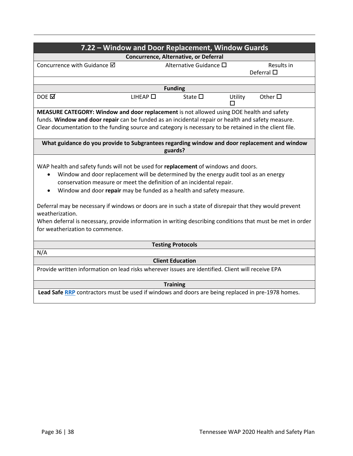|                                                                                                                                                                                                                                                                                                                                                                                                                                                                                                                                                                                                                                    |                     | 7.22 - Window and Door Replacement, Window Guards |               |                                  |  |  |
|------------------------------------------------------------------------------------------------------------------------------------------------------------------------------------------------------------------------------------------------------------------------------------------------------------------------------------------------------------------------------------------------------------------------------------------------------------------------------------------------------------------------------------------------------------------------------------------------------------------------------------|---------------------|---------------------------------------------------|---------------|----------------------------------|--|--|
|                                                                                                                                                                                                                                                                                                                                                                                                                                                                                                                                                                                                                                    |                     | Concurrence, Alternative, or Deferral             |               |                                  |  |  |
| Concurrence with Guidance Ø                                                                                                                                                                                                                                                                                                                                                                                                                                                                                                                                                                                                        |                     | Alternative Guidance □                            |               | Results in<br>Deferral $\square$ |  |  |
|                                                                                                                                                                                                                                                                                                                                                                                                                                                                                                                                                                                                                                    |                     | <b>Funding</b>                                    |               |                                  |  |  |
| $DOE \nightharpoonup$                                                                                                                                                                                                                                                                                                                                                                                                                                                                                                                                                                                                              | $L$ IHEAP $\square$ | State $\square$                                   | Utility<br>ΙI | Other $\square$                  |  |  |
| MEASURE CATEGORY: Window and door replacement is not allowed using DOE health and safety                                                                                                                                                                                                                                                                                                                                                                                                                                                                                                                                           |                     |                                                   |               |                                  |  |  |
| funds. Window and door repair can be funded as an incidental repair or health and safety measure.                                                                                                                                                                                                                                                                                                                                                                                                                                                                                                                                  |                     |                                                   |               |                                  |  |  |
| Clear documentation to the funding source and category is necessary to be retained in the client file.                                                                                                                                                                                                                                                                                                                                                                                                                                                                                                                             |                     |                                                   |               |                                  |  |  |
| What guidance do you provide to Subgrantees regarding window and door replacement and window                                                                                                                                                                                                                                                                                                                                                                                                                                                                                                                                       |                     | guards?                                           |               |                                  |  |  |
| WAP health and safety funds will not be used for replacement of windows and doors.<br>Window and door replacement will be determined by the energy audit tool as an energy<br>$\bullet$<br>conservation measure or meet the definition of an incidental repair.<br>Window and door repair may be funded as a health and safety measure.<br>$\bullet$<br>Deferral may be necessary if windows or doors are in such a state of disrepair that they would prevent<br>weatherization.<br>When deferral is necessary, provide information in writing describing conditions that must be met in order<br>for weatherization to commence. |                     |                                                   |               |                                  |  |  |
|                                                                                                                                                                                                                                                                                                                                                                                                                                                                                                                                                                                                                                    |                     | <b>Testing Protocols</b>                          |               |                                  |  |  |
|                                                                                                                                                                                                                                                                                                                                                                                                                                                                                                                                                                                                                                    | N/A                 |                                                   |               |                                  |  |  |
|                                                                                                                                                                                                                                                                                                                                                                                                                                                                                                                                                                                                                                    |                     | <b>Client Education</b>                           |               |                                  |  |  |
| Provide written information on lead risks wherever issues are identified. Client will receive EPA                                                                                                                                                                                                                                                                                                                                                                                                                                                                                                                                  |                     |                                                   |               |                                  |  |  |
| <b>Training</b>                                                                                                                                                                                                                                                                                                                                                                                                                                                                                                                                                                                                                    |                     |                                                   |               |                                  |  |  |
| Lead Safe RRP contractors must be used if windows and doors are being replaced in pre-1978 homes.                                                                                                                                                                                                                                                                                                                                                                                                                                                                                                                                  |                     |                                                   |               |                                  |  |  |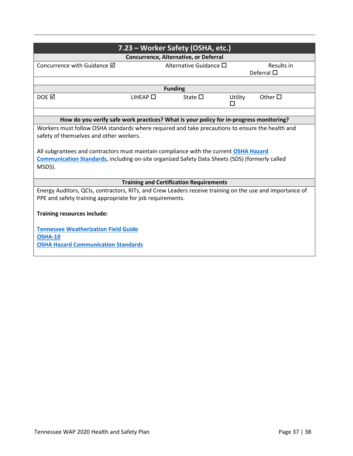| 7.23 - Worker Safety (OSHA, etc.)                                                                        |                  |                                                |              |                    |  |  |
|----------------------------------------------------------------------------------------------------------|------------------|------------------------------------------------|--------------|--------------------|--|--|
|                                                                                                          |                  | Concurrence, Alternative, or Deferral          |              |                    |  |  |
| Concurrence with Guidance $\boxtimes$                                                                    |                  | Alternative Guidance $\square$                 |              | Results in         |  |  |
|                                                                                                          |                  |                                                |              | Deferral $\square$ |  |  |
|                                                                                                          |                  |                                                |              |                    |  |  |
|                                                                                                          |                  | <b>Funding</b>                                 |              |                    |  |  |
| DOE $\boxtimes$                                                                                          | LIHEAP $\square$ | State $\square$                                | Utility<br>п | Other $\Box$       |  |  |
|                                                                                                          |                  |                                                |              |                    |  |  |
| How do you verify safe work practices? What is your policy for in-progress monitoring?                   |                  |                                                |              |                    |  |  |
| Workers must follow OSHA standards where required and take precautions to ensure the health and          |                  |                                                |              |                    |  |  |
| safety of themselves and other workers.                                                                  |                  |                                                |              |                    |  |  |
|                                                                                                          |                  |                                                |              |                    |  |  |
| All subgrantees and contractors must maintain compliance with the current OSHA Hazard                    |                  |                                                |              |                    |  |  |
| Communication Standards, including on-site organized Safety Data Sheets (SDS) (formerly called           |                  |                                                |              |                    |  |  |
| MSDS).                                                                                                   |                  |                                                |              |                    |  |  |
|                                                                                                          |                  |                                                |              |                    |  |  |
|                                                                                                          |                  | <b>Training and Certification Requirements</b> |              |                    |  |  |
| Energy Auditors, QCIs, contractors, RITs, and Crew Leaders receive training on the use and importance of |                  |                                                |              |                    |  |  |
| PPE and safety training appropriate for job requirements.                                                |                  |                                                |              |                    |  |  |
|                                                                                                          |                  |                                                |              |                    |  |  |
| Training resources include:                                                                              |                  |                                                |              |                    |  |  |
| <b>Tennessee Weatherization Field Guide</b>                                                              |                  |                                                |              |                    |  |  |
|                                                                                                          |                  |                                                |              |                    |  |  |
| <b>OSHA-10</b>                                                                                           |                  |                                                |              |                    |  |  |
| <b>OSHA Hazard Communication Standards</b>                                                               |                  |                                                |              |                    |  |  |
|                                                                                                          |                  |                                                |              |                    |  |  |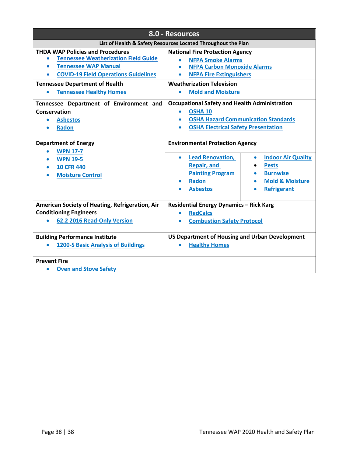| 8.0 - Resources                                                                                                                                                                                                                                                                                                                                                                           |                                                                                                                                                                                                                                                                                                                                                                                                         |  |  |  |
|-------------------------------------------------------------------------------------------------------------------------------------------------------------------------------------------------------------------------------------------------------------------------------------------------------------------------------------------------------------------------------------------|---------------------------------------------------------------------------------------------------------------------------------------------------------------------------------------------------------------------------------------------------------------------------------------------------------------------------------------------------------------------------------------------------------|--|--|--|
| List of Health & Safety Resources Located Throughout the Plan                                                                                                                                                                                                                                                                                                                             |                                                                                                                                                                                                                                                                                                                                                                                                         |  |  |  |
| <b>THDA WAP Policies and Procedures</b><br><b>Tennessee Weatherization Field Guide</b><br>٠<br><b>Tennessee WAP Manual</b><br><b>COVID-19 Field Operations Guidelines</b><br>$\bullet$<br><b>Tennessee Department of Health</b><br><b>Tennessee Healthy Homes</b><br>$\bullet$<br>Tennessee Department of Environment and<br>Conservation<br><b>Asbestos</b><br>$\bullet$<br><b>Radon</b> | <b>National Fire Protection Agency</b><br><b>NFPA Smoke Alarms</b><br><b>NFPA Carbon Monoxide Alarms</b><br><b>NFPA Fire Extinguishers</b><br>٠<br><b>Weatherization Television</b><br><b>Mold and Moisture</b><br>٠<br><b>Occupational Safety and Health Administration</b><br><b>OSHA 10</b><br>$\bullet$<br><b>OSHA Hazard Communication Standards</b><br><b>OSHA Electrical Safety Presentation</b> |  |  |  |
| <b>Department of Energy</b><br><b>WPN 17-7</b><br><b>WPN 19-5</b><br><b>10 CFR 440</b><br><b>Moisture Control</b>                                                                                                                                                                                                                                                                         | <b>Environmental Protection Agency</b><br><b>Lead Renovation,</b><br><b>Indoor Air Quality</b><br>٠<br>$\bullet$<br><b>Repair, and</b><br><b>Pests</b><br><b>Painting Program</b><br><b>Burnwise</b><br><b>Mold &amp; Moisture</b><br><b>Radon</b><br><b>Refrigerant</b><br><b>Asbestos</b>                                                                                                             |  |  |  |
| American Society of Heating, Refrigeration, Air<br><b>Conditioning Engineers</b><br>62.2 2016 Read-Only Version<br><b>Building Performance Institute</b><br><b>1200-S Basic Analysis of Buildings</b>                                                                                                                                                                                     | <b>Residential Energy Dynamics - Rick Karg</b><br><b>RedCalcs</b><br><b>Combustion Safety Protocol</b><br><b>US Department of Housing and Urban Development</b><br><b>Healthy Homes</b>                                                                                                                                                                                                                 |  |  |  |
| <b>Prevent Fire</b><br><b>Oven and Stove Safety</b>                                                                                                                                                                                                                                                                                                                                       |                                                                                                                                                                                                                                                                                                                                                                                                         |  |  |  |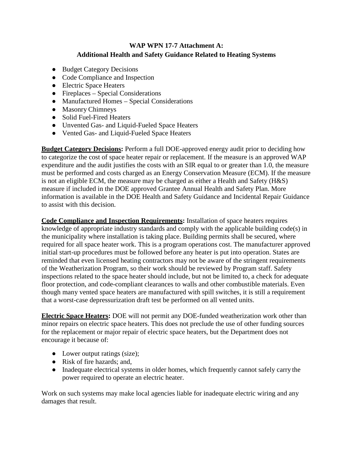## **WAP WPN 17-7 Attachment A: Additional Health and Safety Guidance Related to Heating Systems**

- <span id="page-39-0"></span>● Budget Category Decisions
- Code Compliance and Inspection
- Electric Space Heaters
- $\bullet$  Fireplaces Special Considerations
- Manufactured Homes Special Considerations
- Masonry Chimneys
- Solid Fuel-Fired Heaters
- Unvented Gas- and Liquid-Fueled Space Heaters
- Vented Gas- and Liquid-Fueled Space Heaters

**Budget Category Decisions:** Perform a full DOE-approved energy audit prior to deciding how to categorize the cost of space heater repair or replacement. If the measure is an approved WAP expenditure and the audit justifies the costs with an SIR equal to or greater than 1.0, the measure must be performed and costs charged as an Energy Conservation Measure (ECM). If the measure is not an eligible ECM, the measure may be charged as either a Health and Safety (H&S) measure if included in the DOE approved Grantee Annual Health and Safety Plan. More information is available in the DOE Health and Safety Guidance and Incidental Repair Guidance to assist with this decision.

**Code Compliance and Inspection Requirements:** Installation of space heaters requires knowledge of appropriate industry standards and comply with the applicable building code(s) in the municipality where installation is taking place. Building permits shall be secured, where required for all space heater work. This is a program operations cost. The manufacturer approved initial start-up procedures must be followed before any heater is put into operation. States are reminded that even licensed heating contractors may not be aware of the stringent requirements of the Weatherization Program, so their work should be reviewed by Program staff. Safety inspections related to the space heater should include, but not be limited to, a check for adequate floor protection, and code-compliant clearances to walls and other combustible materials. Even though many vented space heaters are manufactured with spill switches, it is still a requirement that a worst-case depressurization draft test be performed on all vented units.

**Electric Space Heaters:** DOE will not permit any DOE-funded weatherization work other than minor repairs on electric space heaters. This does not preclude the use of other funding sources for the replacement or major repair of electric space heaters, but the Department does not encourage it because of:

- Lower output ratings (size);
- Risk of fire hazards; and,
- Inadequate electrical systems in older homes, which frequently cannot safely carry the power required to operate an electric heater.

Work on such systems may make local agencies liable for inadequate electric wiring and any damages that result.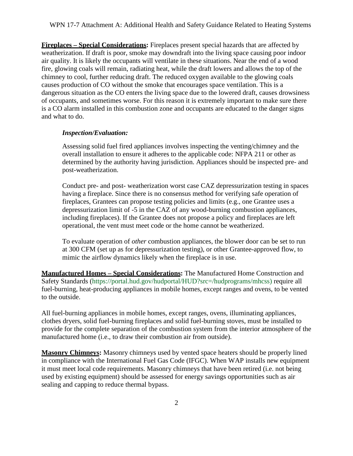**Fireplaces – Special Considerations:** Fireplaces present special hazards that are affected by weatherization. If draft is poor, smoke may downdraft into the living space causing poor indoor air quality. It is likely the occupants will ventilate in these situations. Near the end of a wood fire, glowing coals will remain, radiating heat, while the draft lowers and allows the top of the chimney to cool, further reducing draft. The reduced oxygen available to the glowing coals causes production of CO without the smoke that encourages space ventilation. This is a dangerous situation as the CO enters the living space due to the lowered draft, causes drowsiness of occupants, and sometimes worse. For this reason it is extremely important to make sure there is a CO alarm installed in this combustion zone and occupants are educated to the danger signs and what to do.

#### *Inspection/Evaluation:*

Assessing solid fuel fired appliances involves inspecting the venting/chimney and the overall installation to ensure it adheres to the applicable code: NFPA 211 or other as determined by the authority having jurisdiction. Appliances should be inspected pre- and post-weatherization.

Conduct pre- and post- weatherization worst case CAZ depressurization testing in spaces having a fireplace. Since there is no consensus method for verifying safe operation of fireplaces, Grantees can propose testing policies and limits (e.g., one Grantee uses a depressurization limit of -5 in the CAZ of any wood-burning combustion appliances, including fireplaces). If the Grantee does not propose a policy and fireplaces are left operational, the vent must meet code or the home cannot be weatherized.

To evaluate operation of *other* combustion appliances, the blower door can be set to run at 300 CFM (set up as for depressurization testing), or other Grantee-approved flow, to mimic the airflow dynamics likely when the fireplace is in use.

**Manufactured Homes – Special Considerations:** The Manufactured Home Construction and Safety Standards (https://portal.hud.gov/hudportal/HUD?src=/hudprograms/mhcss) require all fuel-burning, heat-producing appliances in mobile homes, except ranges and ovens, to be vented to the outside.

All fuel-burning appliances in mobile homes, except ranges, ovens, illuminating appliances, clothes dryers, solid fuel-burning fireplaces and solid fuel-burning stoves, must be installed to provide for the complete separation of the combustion system from the interior atmosphere of the manufactured home (i.e., to draw their combustion air from outside).

**Masonry Chimneys:** Masonry chimneys used by vented space heaters should be properly lined in compliance with the International Fuel Gas Code (IFGC). When WAP installs new equipment it must meet local code requirements. Masonry chimneys that have been retired (i.e. not being used by existing equipment) should be assessed for energy savings opportunities such as air sealing and capping to reduce thermal bypass.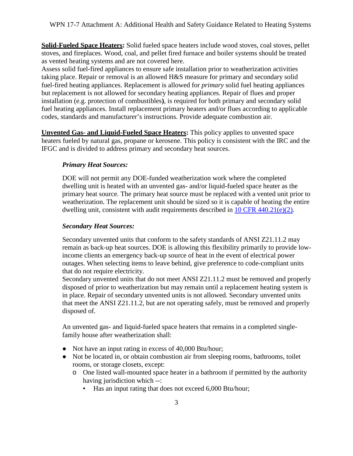**Solid-Fueled Space Heaters:** Solid fueled space heaters include wood stoves, coal stoves, pellet stoves, and fireplaces. Wood, coal, and pellet fired furnace and boiler systems should be treated as vented heating systems and are not covered here.

Assess solid fuel-fired appliances to ensure safe installation prior to weatherization activities taking place. Repair or removal is an allowed H&S measure for primary and secondary solid fuel-fired heating appliances. Replacement is allowed for *primary* solid fuel heating appliances but replacement is not allowed for secondary heating appliances. Repair of flues and proper installation (e.g. protection of combustibles**)**, is required for both primary and secondary solid fuel heating appliances. Install replacement primary heaters and/or flues according to applicable codes, standards and manufacturer's instructions. Provide adequate combustion air.

**Unvented Gas- and Liquid-Fueled Space Heaters:** This policy applies to unvented space heaters fueled by natural gas, propane or kerosene. This policy is consistent with the IRC and the IFGC and is divided to address primary and secondary heat sources.

#### *Primary Heat Sources:*

DOE will not permit any DOE-funded weatherization work where the completed dwelling unit is heated with an unvented gas- and/or liquid-fueled space heater as the primary heat source. The primary heat source must be replaced with a vented unit prior to weatherization. The replacement unit should be sized so it is capable of heating the entire dwelling unit, consistent with audit requirements described in  $10 \text{ CFR } 440.21(e)(2)$ .

#### *Secondary Heat Sources:*

Secondary unvented units that conform to the safety standards of ANSI Z21.11.2 may remain as back-up heat sources. DOE is allowing this flexibility primarily to provide lowincome clients an emergency back-up source of heat in the event of electrical power outages. When selecting items to leave behind, give preference to code-compliant units that do not require electricity.

Secondary unvented units that do not meet ANSI Z21.11.2 must be removed and properly disposed of prior to weatherization but may remain until a replacement heating system is in place. Repair of secondary unvented units is not allowed. Secondary unvented units that meet the ANSI Z21.11.2, but are not operating safely, must be removed and properly disposed of.

An unvented gas- and liquid-fueled space heaters that remains in a completed singlefamily house after weatherization shall:

- Not have an input rating in excess of 40,000 Btu/hour;
- Not be located in, or obtain combustion air from sleeping rooms, bathrooms, toilet rooms, or storage closets, except:
	- o One listed wall-mounted space heater in a bathroom if permitted by the authority having jurisdiction which --:
		- Has an input rating that does not exceed 6,000 Btu/hour;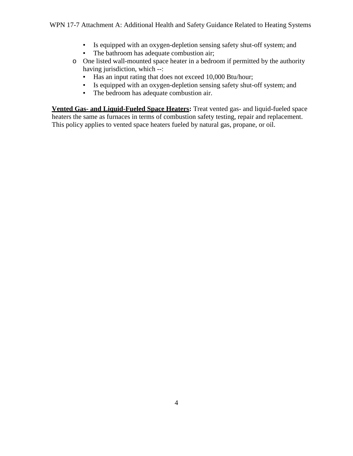- Is equipped with an oxygen-depletion sensing safety shut-off system; and
- The bathroom has adequate combustion air;
- o One listed wall-mounted space heater in a bedroom if permitted by the authority having jurisdiction, which --:
	- Has an input rating that does not exceed 10,000 Btu/hour;
	- Is equipped with an oxygen-depletion sensing safety shut-off system; and
	- The bedroom has adequate combustion air.

**Vented Gas- and Liquid-Fueled Space Heaters:** Treat vented gas- and liquid-fueled space heaters the same as furnaces in terms of combustion safety testing, repair and replacement. This policy applies to vented space heaters fueled by natural gas, propane, or oil.